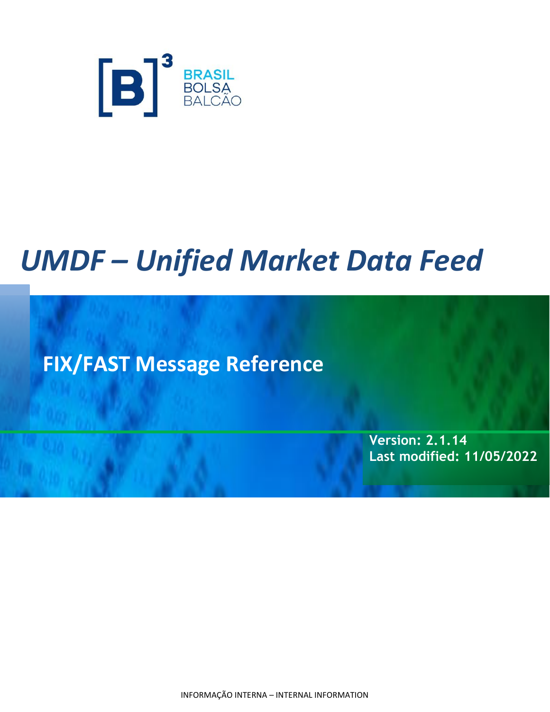

# *UMDF – Unified Market Data Feed*

**FIX/FAST Message Reference**

**Version: 2.1.14 Last modified: 11/05/2022**

INFORMAÇÃO INTERNA – INTERNAL INFORMATION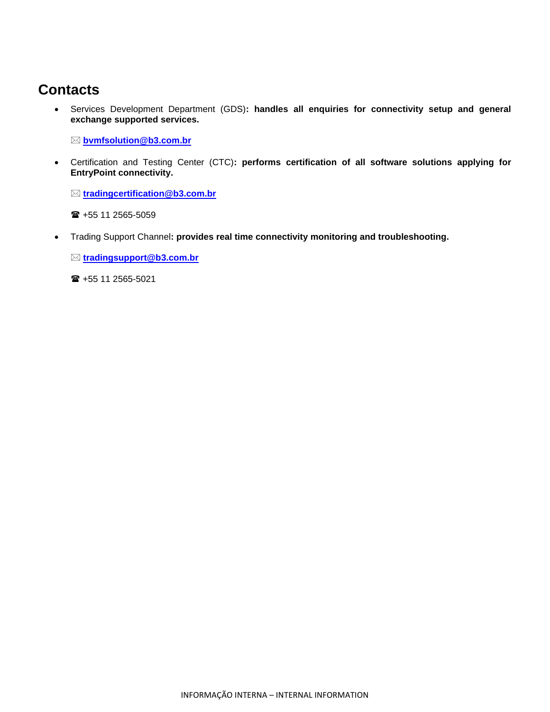## **Contacts**

• Services Development Department (GDS)**: handles all enquiries for connectivity setup and general exchange supported services.**

**[bvmfsolution@b3.com.br](mailto:bvmfsolution@b3.com.br)**

• Certification and Testing Center (CTC)**: performs certification of all software solutions applying for EntryPoint connectivity.**

**[tradingcertification@b3.com.br](mailto:tradingcertification@b3.com.br)**

■ +55 11 2565-5059

• Trading Support Channel**: provides real time connectivity monitoring and troubleshooting.**

**[tradingsupport@b3.com.br](mailto:tradingsupport@b3.com.br)**

+55 11 2565-5021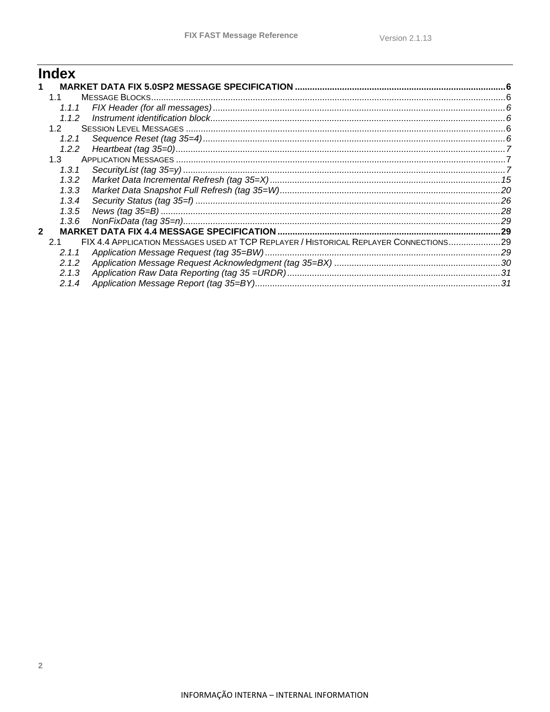## **Index**

|              | 11      |                                                                                       |  |
|--------------|---------|---------------------------------------------------------------------------------------|--|
|              | 1.1.1   |                                                                                       |  |
|              | 1.1.2   |                                                                                       |  |
|              | 1.2     |                                                                                       |  |
|              | 1.2.1   |                                                                                       |  |
|              | 1.2.2   |                                                                                       |  |
|              | $1.3 -$ |                                                                                       |  |
|              | 1.3.1   |                                                                                       |  |
|              | 1.3.2   |                                                                                       |  |
|              | 1.3.3   |                                                                                       |  |
|              | 1.3.4   |                                                                                       |  |
|              | 1.3.5   |                                                                                       |  |
|              | 1.3.6   |                                                                                       |  |
| $\mathbf{2}$ |         |                                                                                       |  |
|              | 21      | FIX 4.4 APPLICATION MESSAGES USED AT TCP REPLAYER / HISTORICAL REPLAYER CONNECTIONS29 |  |
|              | 2.1.1   |                                                                                       |  |
|              | 2.1.2   |                                                                                       |  |
|              | 2.1.3   |                                                                                       |  |
|              | 2.1.4   |                                                                                       |  |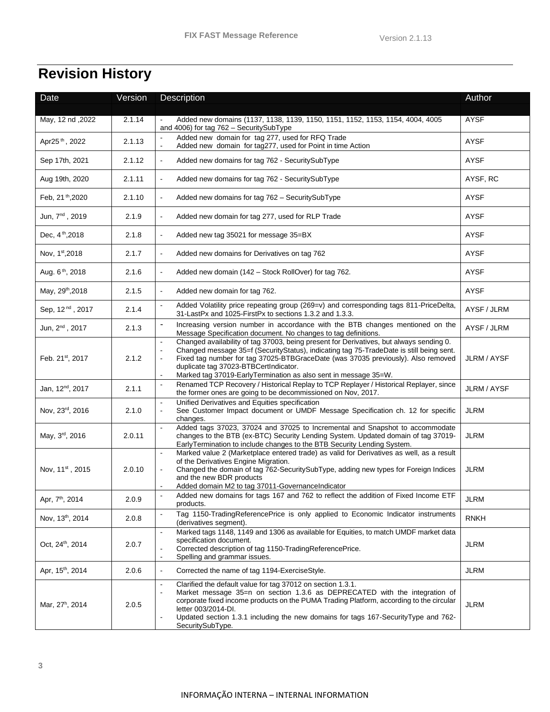## **Revision History**

| Date                         | Version | Description                                                                                                                                                                                                                                                                                                                                                                                          | Author      |
|------------------------------|---------|------------------------------------------------------------------------------------------------------------------------------------------------------------------------------------------------------------------------------------------------------------------------------------------------------------------------------------------------------------------------------------------------------|-------------|
|                              |         |                                                                                                                                                                                                                                                                                                                                                                                                      |             |
| May, 12 nd, 2022             | 2.1.14  | Added new domains (1137, 1138, 1139, 1150, 1151, 1152, 1153, 1154, 4004, 4005<br>and 4006) for tag 762 - SecuritySubType                                                                                                                                                                                                                                                                             | AYSF        |
| Apr25 <sup>th</sup> , 2022   | 2.1.13  | Added new domain for tag 277, used for RFQ Trade<br>Added new domain for tag277, used for Point in time Action                                                                                                                                                                                                                                                                                       | <b>AYSF</b> |
| Sep 17th, 2021               | 2.1.12  | Added new domains for tag 762 - SecuritySubType                                                                                                                                                                                                                                                                                                                                                      | <b>AYSF</b> |
| Aug 19th, 2020               | 2.1.11  | Added new domains for tag 762 - SecuritySubType                                                                                                                                                                                                                                                                                                                                                      | AYSF, RC    |
| Feb, 21 <sup>th</sup> , 2020 | 2.1.10  | Added new domains for tag 762 - SecuritySubType                                                                                                                                                                                                                                                                                                                                                      | <b>AYSF</b> |
| Jun, 7 <sup>nd</sup> , 2019  | 2.1.9   | Added new domain for tag 277, used for RLP Trade                                                                                                                                                                                                                                                                                                                                                     | AYSF        |
| Dec, 4 <sup>th</sup> , 2018  | 2.1.8   | Added new tag 35021 for message 35=BX                                                                                                                                                                                                                                                                                                                                                                | <b>AYSF</b> |
| Nov, 1st, 2018               | 2.1.7   | Added new domains for Derivatives on tag 762                                                                                                                                                                                                                                                                                                                                                         | AYSF        |
| Aug. 6 <sup>th</sup> , 2018  | 2.1.6   | Added new domain (142 - Stock RollOver) for tag 762.                                                                                                                                                                                                                                                                                                                                                 | <b>AYSF</b> |
| May, 29th, 2018              | 2.1.5   | Added new domain for tag 762.<br>$\blacksquare$                                                                                                                                                                                                                                                                                                                                                      | AYSF        |
| Sep, 12 <sup>nd</sup> , 2017 | 2.1.4   | Added Volatility price repeating group (269=v) and corresponding tags 811-PriceDelta,<br>ä,<br>31-LastPx and 1025-FirstPx to sections 1.3.2 and 1.3.3.                                                                                                                                                                                                                                               | AYSF / JLRM |
| Jun, 2 <sup>nd</sup> , 2017  | 2.1.3   | Increasing version number in accordance with the BTB changes mentioned on the<br>Message Specification document. No changes to tag definitions.                                                                                                                                                                                                                                                      | AYSF / JLRM |
| Feb. 21st, 2017              | 2.1.2   | Changed availability of tag 37003, being present for Derivatives, but always sending 0.<br>$\overline{a}$<br>Changed message 35=f (SecurityStatus), indicating tag 75-TradeDate is still being sent.<br>Fixed tag number for tag 37025-BTBGraceDate (was 37035 previously). Also removed<br>duplicate tag 37023-BTBCertIndicator.<br>Marked tag 37019-EarlyTermination as also sent in message 35=W. | JLRM / AYSF |
| Jan, 12 <sup>nd</sup> , 2017 | 2.1.1   | Renamed TCP Recovery / Historical Replay to TCP Replayer / Historical Replayer, since<br>$\overline{a}$<br>the former ones are going to be decommissioned on Nov, 2017.                                                                                                                                                                                                                              | JLRM / AYSF |
| Nov, 23rd, 2016              | 2.1.0   | Unified Derivatives and Equities specification<br>See Customer Impact document or UMDF Message Specification ch. 12 for specific<br>changes.                                                                                                                                                                                                                                                         | <b>JLRM</b> |
| May, 3rd, 2016               | 2.0.11  | Added tags 37023, 37024 and 37025 to Incremental and Snapshot to accommodate<br>changes to the BTB (ex-BTC) Security Lending System. Updated domain of tag 37019-<br>EarlyTermination to include changes to the BTB Security Lending System.                                                                                                                                                         | <b>JLRM</b> |
| Nov, 11st, 2015              | 2.0.10  | Marked value 2 (Marketplace entered trade) as valid for Derivatives as well, as a result<br>of the Derivatives Engine Migration.<br>Changed the domain of tag 762-SecuritySubType, adding new types for Foreign Indices<br>and the new BDR products<br>Added domain M2 to tag 37011-GovernanceIndicator                                                                                              | <b>JLRM</b> |
| Apr, 7 <sup>th</sup> , 2014  | 2.0.9   | Added new domains for tags 167 and 762 to reflect the addition of Fixed Income ETF<br>products.                                                                                                                                                                                                                                                                                                      | <b>JLRM</b> |
| Nov, 13 <sup>th</sup> , 2014 | 2.0.8   | Tag 1150-TradingReferencePrice is only applied to Economic Indicator instruments<br>(derivatives segment).                                                                                                                                                                                                                                                                                           | <b>RNKH</b> |
| Oct, 24 <sup>th</sup> , 2014 | 2.0.7   | Marked tags 1148, 1149 and 1306 as available for Equities, to match UMDF market data<br>specification document.<br>Corrected description of tag 1150-TradingReferencePrice.<br>Spelling and grammar issues.                                                                                                                                                                                          | JLRM        |
| Apr, 15 <sup>th</sup> , 2014 | 2.0.6   | Corrected the name of tag 1194-ExerciseStyle.                                                                                                                                                                                                                                                                                                                                                        | <b>JLRM</b> |
| Mar, 27 <sup>h</sup> , 2014  | 2.0.5   | Clarified the default value for tag 37012 on section 1.3.1.<br>$\blacksquare$<br>Market message 35=n on section 1.3.6 as DEPRECATED with the integration of<br>corporate fixed income products on the PUMA Trading Platform, according to the circular<br>letter 003/2014-DI.<br>Updated section 1.3.1 including the new domains for tags 167-Security Type and 762-<br>SecuritySubType.             | <b>JLRM</b> |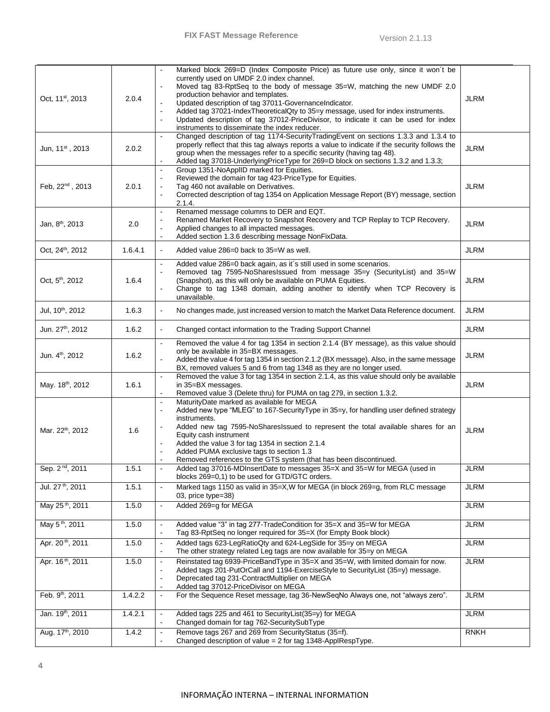| Oct, 11 <sup>st</sup> , 2013 | 2.0.4   | Marked block 269=D (Index Composite Price) as future use only, since it won't be<br>currently used on UMDF 2.0 index channel.<br>Moved tag 83-RptSeq to the body of message 35=W, matching the new UMDF 2.0<br>production behavior and templates.<br>Updated description of tag 37011-GovernanceIndicator.<br>Added tag 37021-IndexTheoreticalQty to 35=y message, used for index instruments.<br>Updated description of tag 37012-PriceDivisor, to indicate it can be used for index<br>$\overline{\phantom{a}}$<br>instruments to disseminate the index reducer. | <b>JLRM</b> |
|------------------------------|---------|--------------------------------------------------------------------------------------------------------------------------------------------------------------------------------------------------------------------------------------------------------------------------------------------------------------------------------------------------------------------------------------------------------------------------------------------------------------------------------------------------------------------------------------------------------------------|-------------|
| Jun, 11st, 2013              | 2.0.2   | Changed description of tag 1174-SecurityTradingEvent on sections 1.3.3 and 1.3.4 to<br>$\blacksquare$<br>properly reflect that this tag always reports a value to indicate if the security follows the<br>group when the messages refer to a specific security (having tag 48).<br>Added tag 37018-UnderlyingPriceType for 269=D block on sections 1.3.2 and 1.3.3;                                                                                                                                                                                                | <b>JLRM</b> |
| Feb, 22 <sup>nd</sup> , 2013 | 2.0.1   | Group 1351-NoAppIID marked for Equities.<br>$\mathbf{r}$<br>Reviewed the domain for tag 423-PriceType for Equities.<br>Tag 460 not available on Derivatives.<br>Corrected description of tag 1354 on Application Message Report (BY) message, section<br>$\mathbf{r}$<br>2.1.4.                                                                                                                                                                                                                                                                                    | <b>JLRM</b> |
| Jan, 8 <sup>th</sup> , 2013  | 2.0     | Renamed message columns to DER and EQT.<br>$\blacksquare$<br>Renamed Market Recovery to Snapshot Recovery and TCP Replay to TCP Recovery.<br>Applied changes to all impacted messages.<br>Added section 1.3.6 describing message NonFixData.                                                                                                                                                                                                                                                                                                                       | <b>JLRM</b> |
| Oct, 24 <sup>th</sup> , 2012 | 1.6.4.1 | Added value 286=0 back to 35=W as well.<br>$\mathbf{r}$                                                                                                                                                                                                                                                                                                                                                                                                                                                                                                            | <b>JLRM</b> |
| Oct, 5 <sup>th</sup> , 2012  | 1.6.4   | Added value 286=0 back again, as it's still used in some scenarios.<br>Removed tag 7595-NoSharesIssued from message 35=y (SecurityList) and 35=W<br>(Snapshot), as this will only be available on PUMA Equities.<br>Change to tag 1348 domain, adding another to identify when TCP Recovery is<br>unavailable.                                                                                                                                                                                                                                                     | <b>JLRM</b> |
| Jul, 10 <sup>th</sup> , 2012 | 1.6.3   | No changes made, just increased version to match the Market Data Reference document.                                                                                                                                                                                                                                                                                                                                                                                                                                                                               | <b>JLRM</b> |
| Jun. 27 <sup>th</sup> , 2012 | 1.6.2   | Changed contact information to the Trading Support Channel<br>$\blacksquare$                                                                                                                                                                                                                                                                                                                                                                                                                                                                                       | <b>JLRM</b> |
| Jun. 4 <sup>th</sup> , 2012  | 1.6.2   | Removed the value 4 for tag 1354 in section 2.1.4 (BY message), as this value should<br>only be available in 35=BX messages.<br>Added the value 4 for tag 1354 in section 2.1.2 (BX message). Also, in the same message<br>BX, removed values 5 and 6 from tag 1348 as they are no longer used.                                                                                                                                                                                                                                                                    | <b>JLRM</b> |
| May. 18th, 2012              | 1.6.1   | Removed the value 3 for tag 1354 in section 2.1.4, as this value should only be available<br>in 35=BX messages.<br>Removed value 3 (Delete thru) for PUMA on tag 279, in section 1.3.2.                                                                                                                                                                                                                                                                                                                                                                            | <b>JLRM</b> |
| Mar. 22 <sup>th</sup> , 2012 | 1.6     | MaturityDate marked as available for MEGA<br>$\omega$<br>Added new type "MLEG" to 167-Security Type in 35=y, for handling user defined strategy<br>$\blacksquare$<br>instruments.<br>Added new tag 7595-NoSharesIssued to represent the total available shares for an<br>Equity cash instrument<br>Added the value 3 for tag 1354 in section 2.1.4<br>Added PUMA exclusive tags to section 1.3<br>Removed references to the GTS system (that has been discontinued.                                                                                                | <b>JLRM</b> |
| Sep. 2 <sup>nd</sup> , 2011  | 1.5.1   | Added tag 37016-MDInsertDate to messages 35=X and 35=W for MEGA (used in<br>blocks 269=0,1) to be used for GTD/GTC orders.                                                                                                                                                                                                                                                                                                                                                                                                                                         | JLRM        |
| Jul. 27 <sup>th</sup> , 2011 | 1.5.1   | Marked tags 1150 as valid in 35=X,W for MEGA (in block 269=g, from RLC message<br>$\blacksquare$<br>03, price type=38)                                                                                                                                                                                                                                                                                                                                                                                                                                             | <b>JLRM</b> |
| May 25 <sup>th</sup> , 2011  | 1.5.0   | Added 269=g for MEGA<br>$\blacksquare$                                                                                                                                                                                                                                                                                                                                                                                                                                                                                                                             | <b>JLRM</b> |
| May 5 <sup>th</sup> , 2011   | 1.5.0   | Added value "3" in tag 277-TradeCondition for 35=X and 35=W for MEGA<br>$\blacksquare$<br>Tag 83-RptSeq no longer required for 35=X (for Empty Book block)<br>$\blacksquare$                                                                                                                                                                                                                                                                                                                                                                                       | <b>JLRM</b> |
| Apr. 20 <sup>th</sup> , 2011 | 1.5.0   | Added tags 623-LegRatioQty and 624-LegSide for 35=y on MEGA<br>$\blacksquare$<br>The other strategy related Leg tags are now available for 35-y on MEGA<br>$\overline{\phantom{a}}$                                                                                                                                                                                                                                                                                                                                                                                | <b>JLRM</b> |
| Apr. 16 <sup>th</sup> , 2011 | 1.5.0   | Reinstated tag 6939-PriceBandType in 35=X and 35=W, with limited domain for now.<br>$\blacksquare$<br>Added tags 201-PutOrCall and 1194-ExerciseStyle to SecurityList (35=y) message.<br>Deprecated tag 231-ContractMultiplier on MEGA<br>$\blacksquare$<br>Added tag 37012-PriceDivisor on MEGA                                                                                                                                                                                                                                                                   | <b>JLRM</b> |
| Feb. 9th, 2011               | 1.4.2.2 | For the Sequence Reset message, tag 36-NewSeqNo Always one, not "always zero".<br>$\blacksquare$                                                                                                                                                                                                                                                                                                                                                                                                                                                                   | <b>JLRM</b> |
| Jan. 19 <sup>th</sup> , 2011 | 1.4.2.1 | Added tags 225 and 461 to SecurityList(35=y) for MEGA<br>$\blacksquare$<br>Changed domain for tag 762-SecuritySubType                                                                                                                                                                                                                                                                                                                                                                                                                                              | <b>JLRM</b> |
| Aug. 17th, 2010              | 1.4.2   | Remove tags 267 and 269 from SecurityStatus (35=f).<br>$\blacksquare$<br>Changed description of value = $2$ for tag 1348-ApplRespType.                                                                                                                                                                                                                                                                                                                                                                                                                             | <b>RNKH</b> |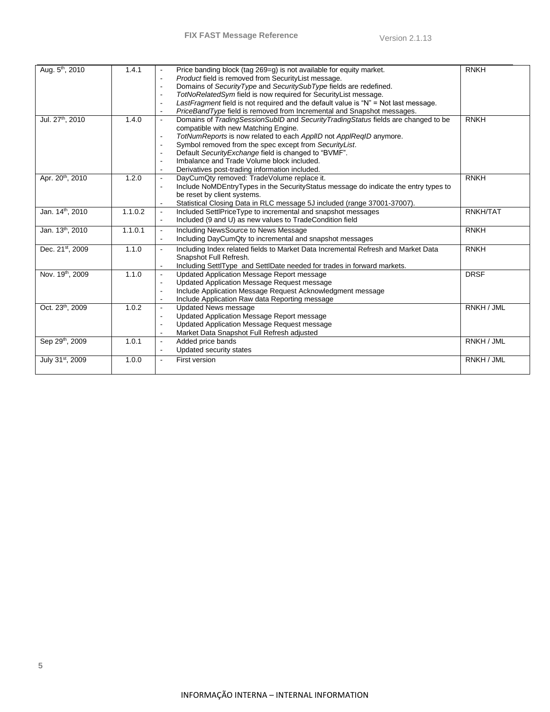| Aug. 5 <sup>th</sup> , 2010  | 1.4.1   | Price banding block (tag 269=g) is not available for equity market.<br>Product field is removed from SecurityList message.<br>Domains of SecurityType and SecuritySubType fields are redefined.<br>TotNoRelatedSym field is now required for SecurityList message.<br>LastFragment field is not required and the default value is "N" = Not last message.<br>PriceBandType field is removed from Incremental and Snapshot messages.                    | <b>RNKH</b> |
|------------------------------|---------|--------------------------------------------------------------------------------------------------------------------------------------------------------------------------------------------------------------------------------------------------------------------------------------------------------------------------------------------------------------------------------------------------------------------------------------------------------|-------------|
| Jul. 27 <sup>th</sup> , 2010 | 1.4.0   | Domains of TradingSessionSubID and SecurityTradingStatus fields are changed to be<br>$\blacksquare$<br>compatible with new Matching Engine.<br>TotNumReports is now related to each ApplID not ApplReqID anymore.<br>$\blacksquare$<br>Symbol removed from the spec except from SecurityList.<br>Default Security Exchange field is changed to "BVMF".<br>Imbalance and Trade Volume block included.<br>Derivatives post-trading information included. | <b>RNKH</b> |
| Apr. 20 <sup>th</sup> , 2010 | 1.2.0   | DayCumQty removed: TradeVolume replace it.<br>Include NoMDEntryTypes in the SecurityStatus message do indicate the entry types to<br>$\blacksquare$<br>be reset by client systems.<br>Statistical Closing Data in RLC message 5J included (range 37001-37007).                                                                                                                                                                                         | <b>RNKH</b> |
| Jan. 14 <sup>th</sup> , 2010 | 1.1.0.2 | Included SettlPriceType to incremental and snapshot messages<br>$\blacksquare$<br>Included (9 and U) as new values to TradeCondition field                                                                                                                                                                                                                                                                                                             | RNKH/TAT    |
| Jan. 13th, 2010              | 1.1.0.1 | Including NewsSource to News Message<br>Including DayCumQty to incremental and snapshot messages                                                                                                                                                                                                                                                                                                                                                       | <b>RNKH</b> |
| Dec. 21st, 2009              | 1.1.0   | Including Index related fields to Market Data Incremental Refresh and Market Data<br>Snapshot Full Refresh.<br>Including SettlType and SettlDate needed for trades in forward markets.                                                                                                                                                                                                                                                                 | <b>RNKH</b> |
| Nov. 19th, 2009              | 1.1.0   | Updated Application Message Report message<br>$\blacksquare$<br>Updated Application Message Request message<br>Include Application Message Request Acknowledgment message<br>Include Application Raw data Reporting message                                                                                                                                                                                                                            | <b>DRSF</b> |
| Oct. 23 <sup>th</sup> , 2009 | 1.0.2   | <b>Updated News message</b><br>Updated Application Message Report message<br>$\blacksquare$<br>Updated Application Message Request message<br>Market Data Snapshot Full Refresh adjusted                                                                                                                                                                                                                                                               | RNKH / JML  |
| Sep 29th, 2009               | 1.0.1   | Added price bands<br>$\blacksquare$<br>Updated security states                                                                                                                                                                                                                                                                                                                                                                                         | RNKH / JML  |
| July 31 <sup>st</sup> , 2009 | 1.0.0   | First version                                                                                                                                                                                                                                                                                                                                                                                                                                          | RNKH / JML  |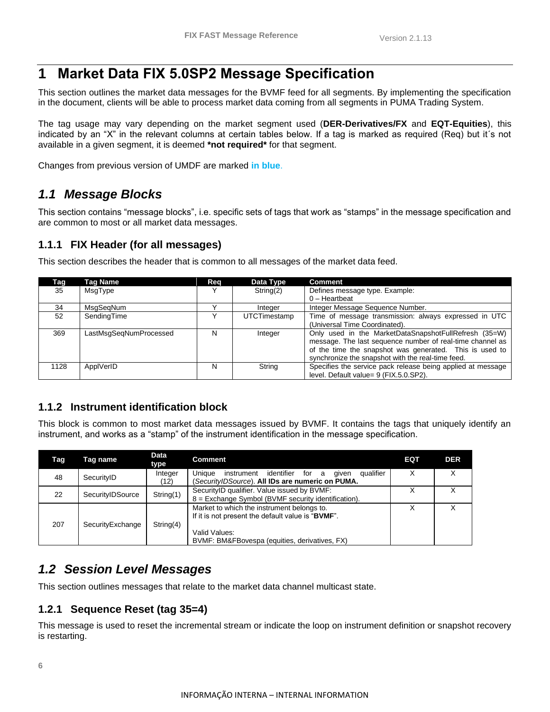## <span id="page-6-0"></span>**1 Market Data FIX 5.0SP2 Message Specification**

This section outlines the market data messages for the BVMF feed for all segments. By implementing the specification in the document, clients will be able to process market data coming from all segments in PUMA Trading System.

The tag usage may vary depending on the market segment used (**DER-Derivatives/FX** and **EQT-Equities**), this indicated by an "X" in the relevant columns at certain tables below. If a tag is marked as required (Req) but it´s not available in a given segment, it is deemed **\*not required\*** for that segment.

Changes from previous version of UMDF are marked **in blue**.

### <span id="page-6-1"></span>*1.1 Message Blocks*

This section contains "message blocks", i.e. specific sets of tags that work as "stamps" in the message specification and are common to most or all market data messages.

#### <span id="page-6-2"></span>**1.1.1 FIX Header (for all messages)**

| Tag  | Taq Name               | Req | Data Type    | <b>Comment</b>                                              |
|------|------------------------|-----|--------------|-------------------------------------------------------------|
| 35   | MsqType                | v   | String(2)    | Defines message type. Example:                              |
|      |                        |     |              | $0$ – Heartbeat                                             |
| 34   | MsgSegNum              |     | Integer      | Integer Message Sequence Number.                            |
| 52   | SendingTime            |     | UTCTimestamp | Time of message transmission: always expressed in UTC       |
|      |                        |     |              | (Universal Time Coordinated).                               |
| 369  | LastMsgSeqNumProcessed | N   | Integer      | Only used in the MarketDataSnapshotFullRefresh (35=W)       |
|      |                        |     |              | message. The last sequence number of real-time channel as   |
|      |                        |     |              | of the time the snapshot was generated. This is used to     |
|      |                        |     |              | synchronize the snapshot with the real-time feed.           |
| 1128 | ApplVerID              | N   | String       | Specifies the service pack release being applied at message |
|      |                        |     |              | level. Default value= 9 (FIX.5.0.SP2).                      |

This section describes the header that is common to all messages of the market data feed.

#### <span id="page-6-3"></span>**1.1.2 Instrument identification block**

This block is common to most market data messages issued by BVMF. It contains the tags that uniquely identify an instrument, and works as a "stamp" of the instrument identification in the message specification.

| Tag | Tag name         | <b>Data</b><br>type | <b>Comment</b>                                                                                                                                                    | EQT | <b>DER</b> |
|-----|------------------|---------------------|-------------------------------------------------------------------------------------------------------------------------------------------------------------------|-----|------------|
| 48  | SecurityID       | Integer<br>(12)     | Unique<br>identifier<br>qualifier<br>instrument<br>for a<br>qiven<br>(SecurityIDSource). All IDs are numeric on PUMA.                                             | Χ   | x          |
| 22  | SecurityIDSource | String(1)           | SecurityID qualifier. Value issued by BVMF:<br>8 = Exchange Symbol (BVMF security identification).                                                                | Х   | x          |
| 207 | SecurityExchange | String(4)           | Market to which the instrument belongs to.<br>If it is not present the default value is "BVMF".<br>Valid Values:<br>BVMF: BM&FBovespa (equities, derivatives, FX) |     |            |

## <span id="page-6-4"></span>*1.2 Session Level Messages*

This section outlines messages that relate to the market data channel multicast state.

#### <span id="page-6-5"></span>**1.2.1 Sequence Reset (tag 35=4)**

This message is used to reset the incremental stream or indicate the loop on instrument definition or snapshot recovery is restarting.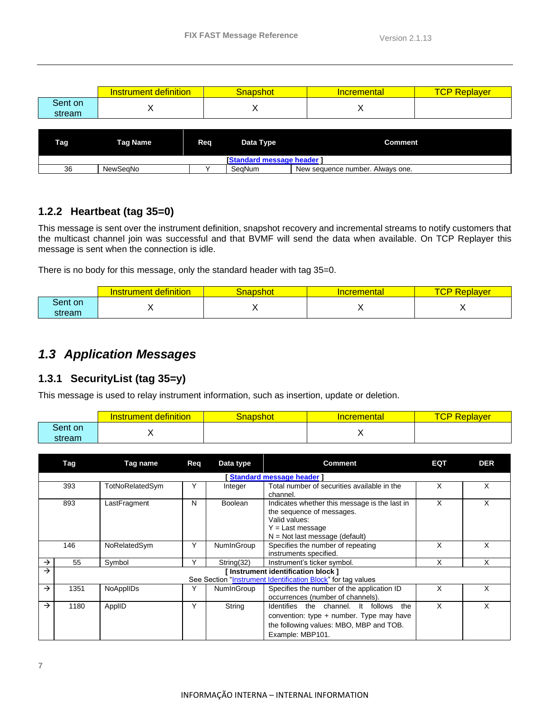|                   | definition<br><u>ıment</u><br>urur | <b>inapshot</b> | <u>Incremental</u> | keplaver<br>◡ |
|-------------------|------------------------------------|-----------------|--------------------|---------------|
| Sent on<br>stream |                                    | ,               | . .                |               |

| Tag <sub>L</sub>                 | <b>Tag Name</b> | Rea | Data Type | <b>Comment</b>                   |  |  |  |
|----------------------------------|-----------------|-----|-----------|----------------------------------|--|--|--|
| <b>Standard message header 1</b> |                 |     |           |                                  |  |  |  |
| 36                               | NewSeaNo        |     | SeaNum    | New sequence number. Always one. |  |  |  |

#### <span id="page-7-0"></span>**1.2.2 Heartbeat (tag 35=0)**

This message is sent over the instrument definition, snapshot recovery and incremental streams to notify customers that the multicast channel join was successful and that BVMF will send the data when available. On TCP Replayer this message is sent when the connection is idle.

There is no body for this message, only the standard header with tag 35=0.

|         | definition<br>trument:<br>151 | inapshot | cremental | . .<br>Replayer<br>◡┎ |
|---------|-------------------------------|----------|-----------|-----------------------|
| Sent on |                               |          |           |                       |
| stream  |                               |          |           | . .                   |

## <span id="page-7-1"></span>*1.3 Application Messages*

#### <span id="page-7-2"></span>**1.3.1 SecurityList (tag 35=y)**

This message is used to relay instrument information, such as insertion, update or deletion.

|                   | definition<br>trument'<br>nsı | Snapshot | <b>Incremental</b> | $\overline{\phantom{a}}$<br>Replaver<br>"Gr |
|-------------------|-------------------------------|----------|--------------------|---------------------------------------------|
| Sent on<br>stream |                               |          | . .                |                                             |

| Tag<br>Tag name<br>Reg<br>Data type |                           | <b>Comment</b>  | EQT | <b>DER</b> |                                                                                                                                                        |   |   |  |  |  |  |
|-------------------------------------|---------------------------|-----------------|-----|------------|--------------------------------------------------------------------------------------------------------------------------------------------------------|---|---|--|--|--|--|
|                                     | Standard message header ] |                 |     |            |                                                                                                                                                        |   |   |  |  |  |  |
|                                     | 393                       | TotNoRelatedSym | Υ   | Integer    | Total number of securities available in the<br>channel.                                                                                                | X | X |  |  |  |  |
|                                     | 893                       | LastFragment    | N   | Boolean    | Indicates whether this message is the last in<br>the sequence of messages.<br>Valid values:<br>$Y = Last message$<br>$N = Not$ last message (default)  | X | x |  |  |  |  |
|                                     | 146                       | NoRelatedSym    | Y   | NumInGroup | Specifies the number of repeating<br>instruments specified.                                                                                            | X | X |  |  |  |  |
| →                                   | 55                        | Symbol          | ٧   | String(32) | Instrument's ticker symbol.                                                                                                                            | X |   |  |  |  |  |
| $\rightarrow$                       |                           |                 |     |            | [Instrument identification block]<br>See Section "Instrument Identification Block" for tag values                                                      |   |   |  |  |  |  |
| $\rightarrow$                       | 1351                      | NoAppIIDs       | Υ   | NumInGroup | Specifies the number of the application ID<br>occurrences (number of channels).                                                                        | X | X |  |  |  |  |
| $\rightarrow$                       | 1180                      | ApplID          | Y   | String     | Identifies the channel. It follows<br>the<br>convention: type $+$ number. Type may have<br>the following values: MBO, MBP and TOB.<br>Example: MBP101. | X | X |  |  |  |  |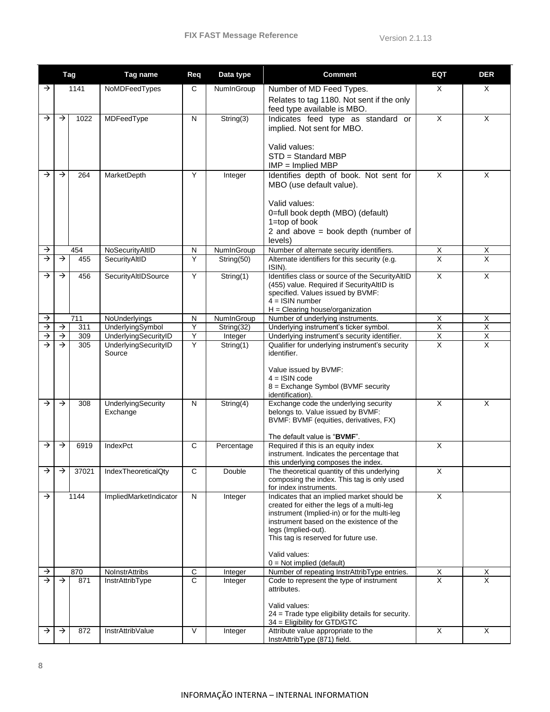|                    | <b>Tag</b>                     |            | Tag name<br>Data type<br><b>Comment</b><br>Req         |                          |                          | EQT                                                                                                                                                                                                                                                                                                 | <b>DER</b>                                |                                           |
|--------------------|--------------------------------|------------|--------------------------------------------------------|--------------------------|--------------------------|-----------------------------------------------------------------------------------------------------------------------------------------------------------------------------------------------------------------------------------------------------------------------------------------------------|-------------------------------------------|-------------------------------------------|
| →                  |                                | 1141       | NoMDFeedTypes                                          | C                        | NumInGroup               | Number of MD Feed Types.<br>Relates to tag 1180. Not sent if the only<br>feed type available is MBO.                                                                                                                                                                                                | X                                         | X                                         |
| →                  | →                              | 1022       | MDFeedType                                             | N                        | String(3)                | Indicates feed type as standard or<br>implied. Not sent for MBO.<br>Valid values:<br>STD = Standard MBP<br>$IMP = Implied MBP$                                                                                                                                                                      | X                                         | $\times$                                  |
| →                  | →                              | 264        | MarketDepth                                            | Y                        | Integer                  | Identifies depth of book. Not sent for<br>MBO (use default value).<br>Valid values:<br>0=full book depth (MBO) (default)<br>$1 = top$ of book<br>2 and above = book depth (number of<br>levels)                                                                                                     | X                                         | X                                         |
| →<br>→             | $\rightarrow$                  | 454<br>455 | NoSecurityAltID<br>SecurityAltID                       | N<br>Y                   | NumInGroup<br>String(50) | Number of alternate security identifiers.<br>Alternate identifiers for this security (e.g.                                                                                                                                                                                                          | X<br>$\overline{\mathsf{x}}$              | Х<br>$\overline{\mathsf{x}}$              |
|                    |                                |            |                                                        |                          |                          | ISIN).                                                                                                                                                                                                                                                                                              |                                           |                                           |
| →                  | $\rightarrow$                  | 456        | SecurityAltIDSource                                    | Y                        | String(1)                | Identifies class or source of the SecurityAltID<br>(455) value. Required if Security AltID is<br>specified. Values issued by BVMF:<br>$4 =$ ISIN number<br>$H =$ Clearing house/organization                                                                                                        | X                                         | X                                         |
| $\rightarrow$      |                                | 711        | NoUnderlyings                                          | N                        | NumInGroup               | Number of underlying instruments.                                                                                                                                                                                                                                                                   | X                                         | X                                         |
| $\rightarrow$      | $\rightarrow$                  | 311        | UnderlyingSymbol                                       | Y                        | String(32)               | Underlying instrument's ticker symbol.                                                                                                                                                                                                                                                              | $\overline{X}$                            | $\overline{\mathsf{X}}$                   |
| $\rightarrow$<br>→ | $\downarrow$<br>$\rightarrow$  | 309<br>305 | UnderlyingSecurityID<br>UnderlyingSecurityID<br>Source | Υ<br>Y                   | Integer<br>String(1)     | Underlying instrument's security identifier.<br>Qualifier for underlying instrument's security<br>identifier.<br>Value issued by BVMF:<br>$4 =$ ISIN code<br>8 = Exchange Symbol (BVMF security<br>identification).                                                                                 | $\overline{X}$<br>$\overline{\mathsf{x}}$ | $\overline{X}$<br>$\overline{\mathsf{X}}$ |
| →                  | $\rightarrow$                  | 308        | UnderlyingSecurity<br>Exchange                         | N                        | String(4)                | Exchange code the underlying security<br>belongs to. Value issued by BVMF:<br>BVMF: BVMF (equities, derivatives, FX)<br>The default value is "BVMF".                                                                                                                                                | $\overline{X}$                            | X                                         |
| →                  | $\rightarrow$                  | 6919       | IndexPct                                               | C                        | Percentage               | Required if this is an equity index<br>instrument. Indicates the percentage that<br>this underlying composes the index.                                                                                                                                                                             | X                                         |                                           |
| →                  | →                              | 37021      | IndexTheoreticalQty                                    | С                        | Double                   | The theoretical quantity of this underlying<br>composing the index. This tag is only used<br>for index instruments.                                                                                                                                                                                 | х                                         |                                           |
| $\rightarrow$      |                                | 1144       | ImpliedMarketIndicator                                 | $\mathsf{N}$             | Integer                  | Indicates that an implied market should be<br>created for either the legs of a multi-leg<br>instrument (Implied-in) or for the multi-leg<br>instrument based on the existence of the<br>legs (Implied-out).<br>This tag is reserved for future use.<br>Valid values:<br>$0 = Not implied (default)$ | X                                         |                                           |
| →                  |                                | 870        | NoInstrAttribs                                         | $\mathsf C$              | Integer                  | Number of repeating InstrAttribType entries.                                                                                                                                                                                                                                                        | X                                         | X                                         |
| $\rightarrow$      | $\rightarrow$<br>$\rightarrow$ | 871<br>872 | InstrAttribType<br>InstrAttribValue                    | $\overline{c}$<br>$\vee$ | Integer                  | Code to represent the type of instrument<br>attributes.<br>Valid values:<br>24 = Trade type eligibility details for security.<br>34 = Eligibility for GTD/GTC<br>Attribute value appropriate to the                                                                                                 | $\overline{X}$<br>$\overline{\mathsf{x}}$ | $\overline{X}$<br>X                       |
| →                  |                                |            |                                                        |                          | Integer                  | InstrAttribType (871) field.                                                                                                                                                                                                                                                                        |                                           |                                           |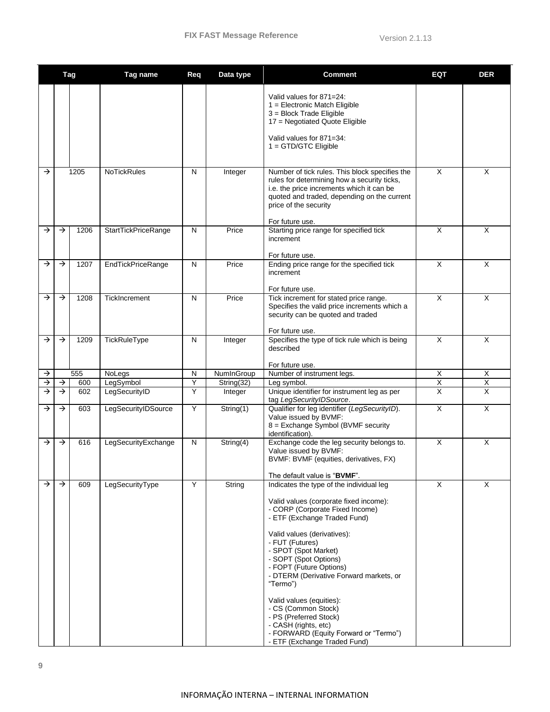|               | Tag           |      | Tag name             | Req          | Data type                     | <b>Comment</b>                                                                                                                                                                                                                                                                                                                                                                                                                                                               | EQT                     | <b>DER</b>  |
|---------------|---------------|------|----------------------|--------------|-------------------------------|------------------------------------------------------------------------------------------------------------------------------------------------------------------------------------------------------------------------------------------------------------------------------------------------------------------------------------------------------------------------------------------------------------------------------------------------------------------------------|-------------------------|-------------|
|               |               |      |                      |              |                               | Valid values for 871=24:<br>$1 =$ Electronic Match Eligible<br>3 = Block Trade Eligible<br>17 = Negotiated Quote Eligible<br>Valid values for 871=34:<br>$1 =$ GTD/GTC Eligible                                                                                                                                                                                                                                                                                              |                         |             |
|               |               |      |                      |              |                               |                                                                                                                                                                                                                                                                                                                                                                                                                                                                              |                         |             |
| $\rightarrow$ | 1205          |      | <b>NoTickRules</b>   | N            | Integer                       | Number of tick rules. This block specifies the<br>rules for determining how a security ticks,<br>i.e. the price increments which it can be<br>quoted and traded, depending on the current<br>price of the security                                                                                                                                                                                                                                                           | $\overline{X}$          | $\times$    |
| →             | $\rightarrow$ | 1206 | StartTickPriceRange  | $\mathsf{N}$ | Price                         | For future use.<br>Starting price range for specified tick<br>increment                                                                                                                                                                                                                                                                                                                                                                                                      | X                       | $\times$    |
|               |               |      |                      |              |                               | For future use.                                                                                                                                                                                                                                                                                                                                                                                                                                                              |                         |             |
| →             | $\rightarrow$ | 1207 | EndTickPriceRange    | N            | Price                         | Ending price range for the specified tick<br>increment                                                                                                                                                                                                                                                                                                                                                                                                                       | X                       | X           |
| →             | $\rightarrow$ | 1208 | <b>TickIncrement</b> | N            | Price                         | For future use.<br>Tick increment for stated price range.<br>Specifies the valid price increments which a<br>security can be quoted and traded<br>For future use.                                                                                                                                                                                                                                                                                                            | $\overline{\mathsf{x}}$ | X           |
| $\rightarrow$ | $\rightarrow$ | 1209 | TickRuleType         | N            | Integer                       | Specifies the type of tick rule which is being<br>described                                                                                                                                                                                                                                                                                                                                                                                                                  | X                       | $\times$    |
|               |               |      |                      |              |                               | For future use.                                                                                                                                                                                                                                                                                                                                                                                                                                                              |                         |             |
| →             |               | 555  | NoLegs               | N            | NumInGroup                    | Number of instrument legs.                                                                                                                                                                                                                                                                                                                                                                                                                                                   | X                       | X           |
| $\rightarrow$ | $\rightarrow$ | 600  | LegSymbol            | Y            | String(32)                    | Leg symbol.                                                                                                                                                                                                                                                                                                                                                                                                                                                                  | X                       | $\mathsf X$ |
| →             | $\rightarrow$ | 602  | LegSecurityID        | Y            | Integer                       | Unique identifier for instrument leg as per<br>tag LegSecurityIDSource.                                                                                                                                                                                                                                                                                                                                                                                                      | X                       | $\times$    |
| →             | $\rightarrow$ | 603  | LegSecurityIDSource  | Υ            | String(1)                     | Qualifier for leg identifier (LegSecurityID).<br>Value issued by BVMF:<br>8 = Exchange Symbol (BVMF security<br>identification).                                                                                                                                                                                                                                                                                                                                             | $\overline{\mathsf{x}}$ | $\times$    |
| →             | $\rightarrow$ | 616  | LegSecurityExchange  | N            | $\overline{\text{String}(4)}$ | Exchange code the leg security belongs to.<br>Value issued by BVMF:<br>BVMF: BVMF (equities, derivatives, FX)<br>The default value is "BVMF".                                                                                                                                                                                                                                                                                                                                | X                       | X           |
| $\rightarrow$ | $\rightarrow$ | 609  | LegSecurityType      | Y            | String                        | Indicates the type of the individual leg                                                                                                                                                                                                                                                                                                                                                                                                                                     | X                       | $\times$    |
|               |               |      |                      |              |                               | Valid values (corporate fixed income):<br>- CORP (Corporate Fixed Income)<br>- ETF (Exchange Traded Fund)<br>Valid values (derivatives):<br>- FUT (Futures)<br>- SPOT (Spot Market)<br>- SOPT (Spot Options)<br>- FOPT (Future Options)<br>- DTERM (Derivative Forward markets, or<br>"Termo")<br>Valid values (equities):<br>- CS (Common Stock)<br>- PS (Preferred Stock)<br>- CASH (rights, etc)<br>- FORWARD (Equity Forward or "Termo")<br>- ETF (Exchange Traded Fund) |                         |             |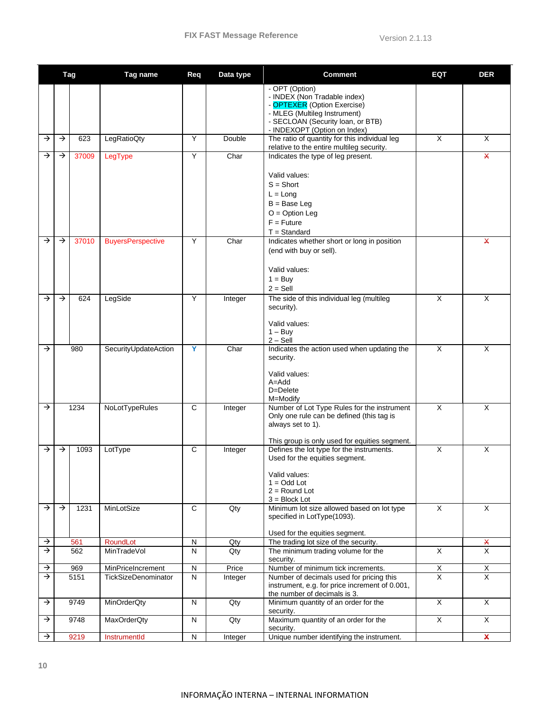|               | Tag           |       | Tag name                   | Req          | Data type | <b>Comment</b>                                                                                                                                                                     | <b>EQT</b>              | <b>DER</b>                |
|---------------|---------------|-------|----------------------------|--------------|-----------|------------------------------------------------------------------------------------------------------------------------------------------------------------------------------------|-------------------------|---------------------------|
|               |               |       |                            |              |           | - OPT (Option)<br>- INDEX (Non Tradable index)<br>- OPTEXER (Option Exercise)<br>- MLEG (Multileg Instrument)<br>- SECLOAN (Security loan, or BTB)<br>- INDEXOPT (Option on Index) |                         |                           |
| →             | $\rightarrow$ | 623   | LegRatioQty                | Υ            | Double    | The ratio of quantity for this individual leg<br>relative to the entire multileg security.                                                                                         | $\overline{\mathsf{x}}$ | $\times$                  |
| →             | $\rightarrow$ | 37009 | LegType                    | Y            | Char      | Indicates the type of leg present.                                                                                                                                                 |                         | $\boldsymbol{\mathsf{X}}$ |
|               |               |       |                            |              |           | Valid values:<br>$S = Short$<br>$L = Long$<br>$B = Base Leg$<br>$O = Option Leg$<br>$F =$ Future<br>$T =$ Standard                                                                 |                         |                           |
| →             | →             | 37010 | <b>BuyersPerspective</b>   | Y            | Char      | Indicates whether short or long in position<br>(end with buy or sell).<br>Valid values:<br>$1 = Buy$<br>$2 =$ Sell                                                                 |                         | $\boldsymbol{\mathsf{X}}$ |
| $\rightarrow$ | $\rightarrow$ | 624   | LegSide                    | Y            | Integer   | The side of this individual leg (multileg<br>security).<br>Valid values:<br>$1 - Buy$<br>$2 - Sell$                                                                                | X                       | X                         |
| $\rightarrow$ |               | 980   | SecurityUpdateAction       | Y            | Char      | Indicates the action used when updating the<br>security.<br>Valid values:<br>$A = Add$<br>D=Delete<br>M=Modify                                                                     | $\overline{\mathsf{x}}$ | $\times$                  |
| $\rightarrow$ |               | 1234  | NoLotTypeRules             | C            | Integer   | Number of Lot Type Rules for the instrument<br>Only one rule can be defined (this tag is<br>always set to 1).<br>This group is only used for equities segment.                     | X                       | $\times$                  |
| $\rightarrow$ | $\rightarrow$ | 1093  | LotType                    | $\mathsf{C}$ | Integer   | Defines the lot type for the instruments.<br>Used for the equities segment.<br>Valid values:<br>$1 =$ Odd Lot<br>$2 =$ Round Lot<br>$3 = Block$ Lot                                | X                       | $\times$                  |
| $\rightarrow$ | $\rightarrow$ | 1231  | MinLotSize                 | $\mathsf{C}$ | Qty       | Minimum lot size allowed based on lot type<br>specified in LotType(1093).<br>Used for the equities segment.                                                                        | X                       | $\times$                  |
| $\rightarrow$ |               | 561   | RoundLot                   | N            | Qty       | The trading lot size of the security.                                                                                                                                              |                         | X                         |
| $\rightarrow$ |               | 562   | MinTradeVol                | N            | Qty       | The minimum trading volume for the<br>security.                                                                                                                                    | X                       | $\overline{\mathsf{x}}$   |
| $\rightarrow$ |               | 969   | MinPriceIncrement          | N            | Price     | Number of minimum tick increments.                                                                                                                                                 | $\mathsf{X}$            | $\boldsymbol{\mathsf{X}}$ |
| $\rightarrow$ |               | 5151  | <b>TickSizeDenominator</b> | $\mathsf{N}$ | Integer   | Number of decimals used for pricing this<br>instrument, e.g. for price increment of 0.001,<br>the number of decimals is 3.                                                         | $\overline{\mathsf{x}}$ | $\overline{\mathsf{x}}$   |
| $\rightarrow$ |               | 9749  | MinOrderQty                | $\mathsf{N}$ | Qty       | Minimum quantity of an order for the<br>security.                                                                                                                                  | $\overline{X}$          | $\times$                  |
| →             |               | 9748  | <b>MaxOrderQty</b>         | N            | Qty       | Maximum quantity of an order for the<br>security.                                                                                                                                  | X                       | X                         |
| $\rightarrow$ |               | 9219  | InstrumentId               | ${\sf N}$    | Integer   | Unique number identifying the instrument.                                                                                                                                          |                         | $\boldsymbol{\mathsf{x}}$ |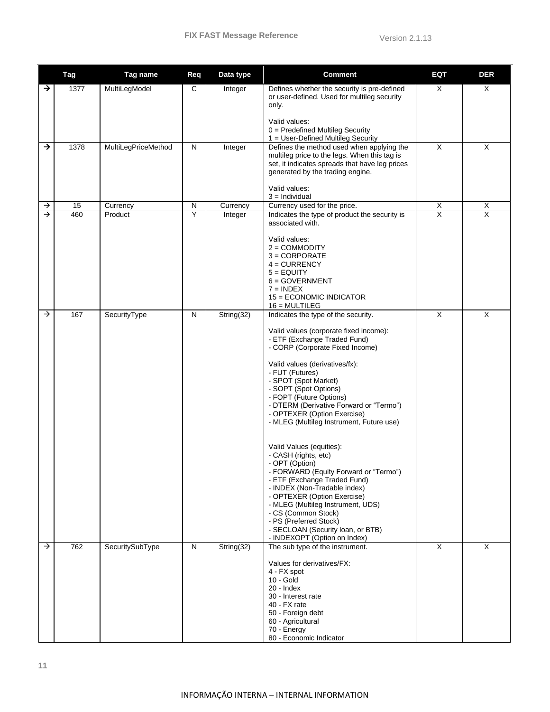|               | <b>Tag</b> | Tag name            | Req          | Data type               | <b>Comment</b>                                                                                                                                                                                                                                                                                                                                                                                                                                                                                                                                                                                                                                                                                                                                                                   | <b>EQT</b>     | <b>DER</b>     |
|---------------|------------|---------------------|--------------|-------------------------|----------------------------------------------------------------------------------------------------------------------------------------------------------------------------------------------------------------------------------------------------------------------------------------------------------------------------------------------------------------------------------------------------------------------------------------------------------------------------------------------------------------------------------------------------------------------------------------------------------------------------------------------------------------------------------------------------------------------------------------------------------------------------------|----------------|----------------|
| $\rightarrow$ | 1377       | MultiLegModel       | С            | Integer                 | Defines whether the security is pre-defined<br>or user-defined. Used for multileg security<br>only.<br>Valid values:<br>$0 =$ Predefined Multileg Security<br>1 = User-Defined Multileg Security                                                                                                                                                                                                                                                                                                                                                                                                                                                                                                                                                                                 | X              | X              |
| $\rightarrow$ | 1378       | MultiLegPriceMethod | $\mathsf{N}$ | Integer                 | Defines the method used when applying the<br>multileg price to the legs. When this tag is<br>set, it indicates spreads that have leg prices<br>generated by the trading engine.<br>Valid values:<br>$3 =$ Individual                                                                                                                                                                                                                                                                                                                                                                                                                                                                                                                                                             | X              | X              |
| $\rightarrow$ | 15         | Currency            | ${\sf N}$    | Currency                | Currency used for the price.                                                                                                                                                                                                                                                                                                                                                                                                                                                                                                                                                                                                                                                                                                                                                     | $\overline{X}$ | $\overline{X}$ |
| $\rightarrow$ | 460        | Product             | Y            | Integer                 | Indicates the type of product the security is<br>associated with.<br>Valid values:<br>$2 =$ COMMODITY<br>$3 = CORPORTE$<br>$4 = CURRENCY$<br>$5 = EQUITY$<br>$6 = GOVERNMENT$<br>$7 = INDEX$<br>15 = ECONOMIC INDICATOR<br>$16 = MULTILEG$                                                                                                                                                                                                                                                                                                                                                                                                                                                                                                                                       | $\overline{X}$ | $\overline{X}$ |
| $\rightarrow$ | 167        | SecurityType        | N            | $\overline{String(32)}$ | Indicates the type of the security.<br>Valid values (corporate fixed income):<br>- ETF (Exchange Traded Fund)<br>- CORP (Corporate Fixed Income)<br>Valid values (derivatives/fx):<br>- FUT (Futures)<br>- SPOT (Spot Market)<br>- SOPT (Spot Options)<br>- FOPT (Future Options)<br>- DTERM (Derivative Forward or "Termo")<br>- OPTEXER (Option Exercise)<br>- MLEG (Multileg Instrument, Future use)<br>Valid Values (equities):<br>- CASH (rights, etc)<br>- OPT (Option)<br>- FORWARD (Equity Forward or "Termo")<br>- ETF (Exchange Traded Fund)<br>- INDEX (Non-Tradable index)<br>- OPTEXER (Option Exercise)<br>- MLEG (Multileg Instrument, UDS)<br>- CS (Common Stock)<br>- PS (Preferred Stock)<br>- SECLOAN (Security loan, or BTB)<br>- INDEXOPT (Option on Index) | X              | X              |
| $\rightarrow$ | 762        | SecuritySubType     | $\mathsf{N}$ | String(32)              | The sub type of the instrument.<br>Values for derivatives/FX:<br>4 - FX spot<br>$10 - Gold$<br>20 - Index<br>30 - Interest rate<br>40 - FX rate<br>50 - Foreign debt<br>60 - Agricultural<br>70 - Energy<br>80 - Economic Indicator                                                                                                                                                                                                                                                                                                                                                                                                                                                                                                                                              | X              | X              |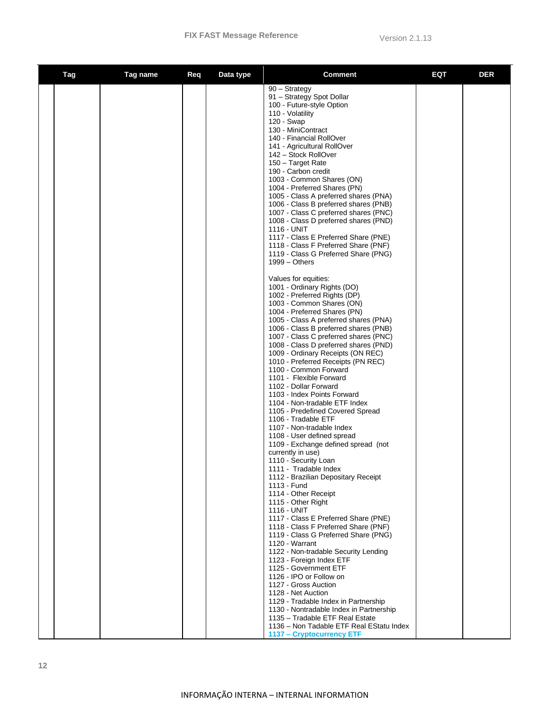| Tag | Tag name | Req | Data type | <b>Comment</b>                                                                                                                                                                                                                                                                                                                                                                                                                                                                                                                                                                                                                                                                                                                                                                                                                                                                                                                                                                                                                                                                        | EQT | <b>DER</b> |
|-----|----------|-----|-----------|---------------------------------------------------------------------------------------------------------------------------------------------------------------------------------------------------------------------------------------------------------------------------------------------------------------------------------------------------------------------------------------------------------------------------------------------------------------------------------------------------------------------------------------------------------------------------------------------------------------------------------------------------------------------------------------------------------------------------------------------------------------------------------------------------------------------------------------------------------------------------------------------------------------------------------------------------------------------------------------------------------------------------------------------------------------------------------------|-----|------------|
|     |          |     |           | 90 - Strategy<br>91 - Strategy Spot Dollar<br>100 - Future-style Option<br>110 - Volatility<br>120 - Swap<br>130 - MiniContract<br>140 - Financial RollOver<br>141 - Agricultural RollOver<br>142 – Stock RollOver<br>150 - Target Rate<br>190 - Carbon credit<br>1003 - Common Shares (ON)<br>1004 - Preferred Shares (PN)<br>1005 - Class A preferred shares (PNA)<br>1006 - Class B preferred shares (PNB)<br>1007 - Class C preferred shares (PNC)<br>1008 - Class D preferred shares (PND)<br>1116 - UNIT<br>1117 - Class E Preferred Share (PNE)<br>1118 - Class F Preferred Share (PNF)<br>1119 - Class G Preferred Share (PNG)<br>$1999 - Others$<br>Values for equities:<br>1001 - Ordinary Rights (DO)<br>1002 - Preferred Rights (DP)<br>1003 - Common Shares (ON)<br>1004 - Preferred Shares (PN)<br>1005 - Class A preferred shares (PNA)<br>1006 - Class B preferred shares (PNB)<br>1007 - Class C preferred shares (PNC)<br>1008 - Class D preferred shares (PND)<br>1009 - Ordinary Receipts (ON REC)<br>1010 - Preferred Receipts (PN REC)<br>1100 - Common Forward |     |            |
|     |          |     |           | 1101 - Flexible Forward<br>1102 - Dollar Forward<br>1103 - Index Points Forward<br>1104 - Non-tradable ETF Index<br>1105 - Predefined Covered Spread<br>1106 - Tradable ETF<br>1107 - Non-tradable Index<br>1108 - User defined spread<br>1109 - Exchange defined spread (not                                                                                                                                                                                                                                                                                                                                                                                                                                                                                                                                                                                                                                                                                                                                                                                                         |     |            |
|     |          |     |           | currently in use)<br>1110 - Security Loan<br>1111 - Tradable Index<br>1112 - Brazilian Depositary Receipt<br>1113 - Fund<br>1114 - Other Receipt<br>1115 - Other Right<br>1116 - UNIT                                                                                                                                                                                                                                                                                                                                                                                                                                                                                                                                                                                                                                                                                                                                                                                                                                                                                                 |     |            |
|     |          |     |           | 1117 - Class E Preferred Share (PNE)<br>1118 - Class F Preferred Share (PNF)<br>1119 - Class G Preferred Share (PNG)<br>1120 - Warrant<br>1122 - Non-tradable Security Lending<br>1123 - Foreign Index ETF<br>1125 - Government ETF<br>1126 - IPO or Follow on<br>1127 - Gross Auction<br>1128 - Net Auction<br>1129 - Tradable Index in Partnership                                                                                                                                                                                                                                                                                                                                                                                                                                                                                                                                                                                                                                                                                                                                  |     |            |
|     |          |     |           | 1130 - Nontradable Index in Partnership<br>1135 - Tradable ETF Real Estate<br>1136 - Non Tadable ETF Real EStatu Index<br>1137 - Cryptocurrency ETF                                                                                                                                                                                                                                                                                                                                                                                                                                                                                                                                                                                                                                                                                                                                                                                                                                                                                                                                   |     |            |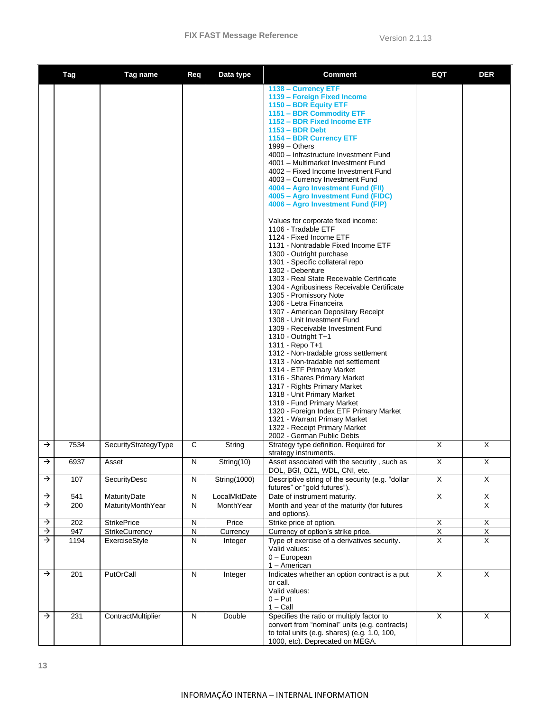|               | Tag  | Tag name             | Req       | Data type    | Comment                                                                                                                                                                                                                                                                                                                                                                                                                                                                                                                                                                                                                                                                                                                                                                                                                                                                                                                                                                                                                                                                                                                                                                                                                                                                                                                                                                                   | EQT                     | <b>DER</b>              |
|---------------|------|----------------------|-----------|--------------|-------------------------------------------------------------------------------------------------------------------------------------------------------------------------------------------------------------------------------------------------------------------------------------------------------------------------------------------------------------------------------------------------------------------------------------------------------------------------------------------------------------------------------------------------------------------------------------------------------------------------------------------------------------------------------------------------------------------------------------------------------------------------------------------------------------------------------------------------------------------------------------------------------------------------------------------------------------------------------------------------------------------------------------------------------------------------------------------------------------------------------------------------------------------------------------------------------------------------------------------------------------------------------------------------------------------------------------------------------------------------------------------|-------------------------|-------------------------|
|               |      |                      |           |              | 1138 - Currency ETF<br>1139 - Foreign Fixed Income<br>1150 - BDR Equity ETF<br>1151 - BDR Commodity ETF<br>1152 - BDR Fixed Income ETF<br>$1153 - BDR$ Debt<br>1154 - BDR Currency ETF<br>$1999 - Others$<br>4000 - Infrastructure Investment Fund<br>4001 - Multimarket Investment Fund<br>4002 - Fixed Income Investment Fund<br>4003 - Currency Investment Fund<br>4004 - Agro Investment Fund (FII)<br>4005 - Agro Investment Fund (FIDC)<br>4006 - Agro Investment Fund (FIP)<br>Values for corporate fixed income:<br>1106 - Tradable ETF<br>1124 - Fixed Income ETF<br>1131 - Nontradable Fixed Income ETF<br>1300 - Outright purchase<br>1301 - Specific collateral repo<br>1302 - Debenture<br>1303 - Real State Receivable Certificate<br>1304 - Agribusiness Receivable Certificate<br>1305 - Promissory Note<br>1306 - Letra Financeira<br>1307 - American Depositary Receipt<br>1308 - Unit Investment Fund<br>1309 - Receivable Investment Fund<br>1310 - Outright T+1<br>1311 - Repo T+1<br>1312 - Non-tradable gross settlement<br>1313 - Non-tradable net settlement<br>1314 - ETF Primary Market<br>1316 - Shares Primary Market<br>1317 - Rights Primary Market<br>1318 - Unit Primary Market<br>1319 - Fund Primary Market<br>1320 - Foreign Index ETF Primary Market<br>1321 - Warrant Primary Market<br>1322 - Receipt Primary Market<br>2002 - German Public Debts |                         |                         |
| $\rightarrow$ | 7534 | SecurityStrategyType | C         | String       | Strategy type definition. Required for<br>strategy instruments.                                                                                                                                                                                                                                                                                                                                                                                                                                                                                                                                                                                                                                                                                                                                                                                                                                                                                                                                                                                                                                                                                                                                                                                                                                                                                                                           | X                       | X                       |
| $\rightarrow$ | 6937 | Asset                | N         | String(10)   | Asset associated with the security, such as<br>DOL, BGI, OZ1, WDL, CNI, etc.                                                                                                                                                                                                                                                                                                                                                                                                                                                                                                                                                                                                                                                                                                                                                                                                                                                                                                                                                                                                                                                                                                                                                                                                                                                                                                              | Х                       | X                       |
| →             | 107  | SecurityDesc         | ${\sf N}$ | String(1000) | Descriptive string of the security (e.g. "dollar<br>futures" or "gold futures").                                                                                                                                                                                                                                                                                                                                                                                                                                                                                                                                                                                                                                                                                                                                                                                                                                                                                                                                                                                                                                                                                                                                                                                                                                                                                                          | $\overline{\mathsf{x}}$ | X                       |
| →             | 541  | MaturityDate         | ${\sf N}$ | LocalMktDate | Date of instrument maturity.                                                                                                                                                                                                                                                                                                                                                                                                                                                                                                                                                                                                                                                                                                                                                                                                                                                                                                                                                                                                                                                                                                                                                                                                                                                                                                                                                              | $\overline{X}$          | $\mathsf X$             |
| $\rightarrow$ | 200  | MaturityMonthYear    | ${\sf N}$ | MonthYear    | Month and year of the maturity (for futures<br>and options).                                                                                                                                                                                                                                                                                                                                                                                                                                                                                                                                                                                                                                                                                                                                                                                                                                                                                                                                                                                                                                                                                                                                                                                                                                                                                                                              |                         | X                       |
| →             | 202  | <b>StrikePrice</b>   | ${\sf N}$ | Price        | Strike price of option.                                                                                                                                                                                                                                                                                                                                                                                                                                                                                                                                                                                                                                                                                                                                                                                                                                                                                                                                                                                                                                                                                                                                                                                                                                                                                                                                                                   | $\mathsf{X}$            | X                       |
| $\downarrow$  | 947  | StrikeCurrency       | ${\sf N}$ | Currency     | Currency of option's strike price.                                                                                                                                                                                                                                                                                                                                                                                                                                                                                                                                                                                                                                                                                                                                                                                                                                                                                                                                                                                                                                                                                                                                                                                                                                                                                                                                                        | Χ                       | $\overline{\mathsf{X}}$ |
| →             | 1194 | ExerciseStyle        | ${\sf N}$ | Integer      | Type of exercise of a derivatives security.<br>Valid values:<br>$0$ – European<br>1 - American                                                                                                                                                                                                                                                                                                                                                                                                                                                                                                                                                                                                                                                                                                                                                                                                                                                                                                                                                                                                                                                                                                                                                                                                                                                                                            | $\overline{X}$          | $\overline{\mathsf{x}}$ |
| →             | 201  | PutOrCall            | ${\sf N}$ | Integer      | Indicates whether an option contract is a put<br>or call.<br>Valid values:<br>$0 - Put$<br>$1 -$ Call                                                                                                                                                                                                                                                                                                                                                                                                                                                                                                                                                                                                                                                                                                                                                                                                                                                                                                                                                                                                                                                                                                                                                                                                                                                                                     | X                       | X                       |
| →             | 231  | ContractMultiplier   | ${\sf N}$ | Double       | Specifies the ratio or multiply factor to<br>convert from "nominal" units (e.g. contracts)<br>to total units (e.g. shares) (e.g. 1.0, 100,<br>1000, etc). Deprecated on MEGA.                                                                                                                                                                                                                                                                                                                                                                                                                                                                                                                                                                                                                                                                                                                                                                                                                                                                                                                                                                                                                                                                                                                                                                                                             | $\overline{X}$          | $\times$                |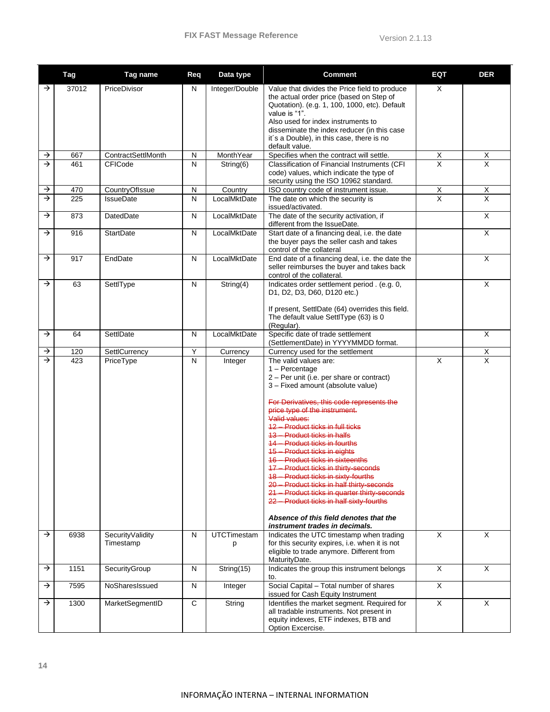|               | <b>Tag</b> | Tag name                      | Req            | Data type               | <b>Comment</b>                                                                                                                                                                                                                                                                                                                                                                                                                                                                                                                                                                                                                                                                                         | <b>EQT</b>              | <b>DER</b>              |
|---------------|------------|-------------------------------|----------------|-------------------------|--------------------------------------------------------------------------------------------------------------------------------------------------------------------------------------------------------------------------------------------------------------------------------------------------------------------------------------------------------------------------------------------------------------------------------------------------------------------------------------------------------------------------------------------------------------------------------------------------------------------------------------------------------------------------------------------------------|-------------------------|-------------------------|
| →             | 37012      | PriceDivisor                  | N              | Integer/Double          | Value that divides the Price field to produce<br>the actual order price (based on Step of<br>Quotation). (e.g. 1, 100, 1000, etc). Default<br>value is "1".<br>Also used for index instruments to<br>disseminate the index reducer (in this case<br>it's a Double), in this case, there is no<br>default value.                                                                                                                                                                                                                                                                                                                                                                                        | X                       |                         |
| $\rightarrow$ | 667        | ContractSettlMonth            | ${\sf N}$      | MonthYear               | Specifies when the contract will settle.                                                                                                                                                                                                                                                                                                                                                                                                                                                                                                                                                                                                                                                               | X                       | X                       |
| $\rightarrow$ | 461        | CFICode                       | $\mathsf{N}$   | String(6)               | Classification of Financial Instruments (CFI<br>code) values, which indicate the type of<br>security using the ISO 10962 standard.                                                                                                                                                                                                                                                                                                                                                                                                                                                                                                                                                                     | X                       | X                       |
| $\rightarrow$ | 470        | CountryOfIssue                | N              | Country                 | ISO country code of instrument issue.                                                                                                                                                                                                                                                                                                                                                                                                                                                                                                                                                                                                                                                                  | X                       | $\overline{X}$          |
| $\rightarrow$ | 225        | <b>IssueDate</b>              | $\overline{N}$ | LocalMktDate            | The date on which the security is<br>issued/activated.                                                                                                                                                                                                                                                                                                                                                                                                                                                                                                                                                                                                                                                 | $\overline{\mathsf{x}}$ | $\overline{X}$          |
| $\rightarrow$ | 873        | DatedDate                     | N              | LocalMktDate            | The date of the security activation, if<br>different from the IssueDate.                                                                                                                                                                                                                                                                                                                                                                                                                                                                                                                                                                                                                               |                         | $\times$                |
| $\rightarrow$ | 916        | <b>StartDate</b>              | N              | LocalMktDate            | Start date of a financing deal, i.e. the date<br>the buyer pays the seller cash and takes<br>control of the collateral                                                                                                                                                                                                                                                                                                                                                                                                                                                                                                                                                                                 |                         | X                       |
| $\rightarrow$ | 917        | EndDate                       | $\mathsf{N}$   | LocalMktDate            | End date of a financing deal, i.e. the date the<br>seller reimburses the buyer and takes back<br>control of the collateral.                                                                                                                                                                                                                                                                                                                                                                                                                                                                                                                                                                            |                         | X                       |
| →             | 63         | SettlType                     | $\mathsf{N}$   | String(4)               | Indicates order settlement period . (e.g. 0,<br>D1, D2, D3, D60, D120 etc.)<br>If present, SettlDate (64) overrides this field.<br>The default value SettlType (63) is 0<br>(Regular).                                                                                                                                                                                                                                                                                                                                                                                                                                                                                                                 |                         | X                       |
| $\rightarrow$ | 64         | SettlDate                     | N              | LocalMktDate            | Specific date of trade settlement<br>(SettlementDate) in YYYYMMDD format.                                                                                                                                                                                                                                                                                                                                                                                                                                                                                                                                                                                                                              |                         | $\times$                |
| →             | 120        | SettlCurrency                 | Y              | Currency                | Currency used for the settlement                                                                                                                                                                                                                                                                                                                                                                                                                                                                                                                                                                                                                                                                       |                         | $\mathsf X$             |
| $\rightarrow$ | 423        | PriceType                     | $\overline{N}$ | Integer                 | The valid values are:<br>$1 -$ Percentage<br>2 - Per unit (i.e. per share or contract)<br>3 - Fixed amount (absolute value)<br>For Derivatives, this code represents the<br>price type of the instrument.<br>Valid values:<br>12 - Product ticks in full ticks<br>13 - Product ticks in halfs<br>14 - Product ticks in fourths<br>15 - Product ticks in eights<br>16 - Product ticks in sixteenths<br>17 - Product ticks in thirty-seconds<br>18 - Product ticks in sixty-fourths<br>20 - Product ticks in half thirty-seconds<br>21 - Product ticks in quarter thirty-seconds<br>22 - Product ticks in half sixty-fourths<br>Absence of this field denotes that the<br>instrument trades in decimals. | $\overline{X}$          | $\overline{\mathsf{x}}$ |
| →             | 6938       | SecurityValidity<br>Timestamp | N              | <b>UTCTimestam</b><br>p | Indicates the UTC timestamp when trading<br>for this security expires, i.e. when it is not<br>eligible to trade anymore. Different from<br>MaturityDate.                                                                                                                                                                                                                                                                                                                                                                                                                                                                                                                                               | X                       | X                       |
| →             | 1151       | SecurityGroup                 | ${\sf N}$      | String(15)              | Indicates the group this instrument belongs<br>to.                                                                                                                                                                                                                                                                                                                                                                                                                                                                                                                                                                                                                                                     | X                       | X                       |
| →             | 7595       | NoSharesIssued                | ${\sf N}$      | Integer                 | Social Capital - Total number of shares<br>issued for Cash Equity Instrument                                                                                                                                                                                                                                                                                                                                                                                                                                                                                                                                                                                                                           | X                       |                         |
| →             | 1300       | MarketSegmentID               | $\mathbf C$    | String                  | Identifies the market segment. Required for<br>all tradable instruments. Not present in<br>equity indexes, ETF indexes, BTB and<br>Option Excercise.                                                                                                                                                                                                                                                                                                                                                                                                                                                                                                                                                   | $\overline{\mathsf{x}}$ | $\times$                |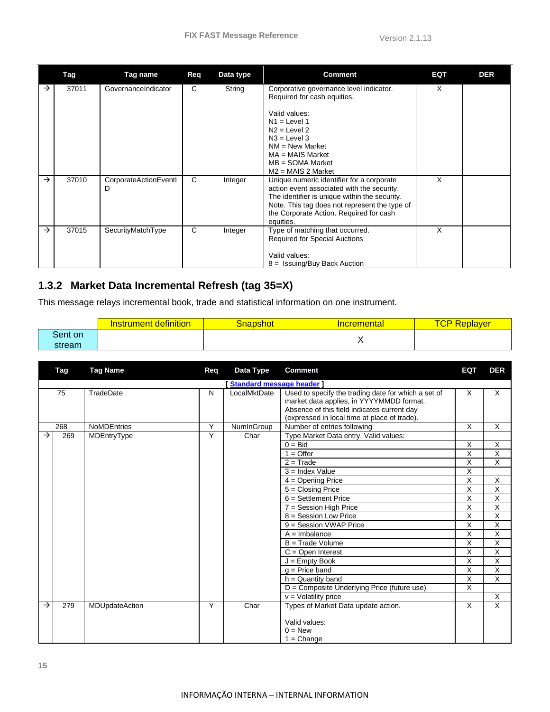|               | Tag   | Tag name                   | <b>Req</b> | Data type | <b>Comment</b>                                                                                                                                                                                                                                    | EQT | <b>DER</b> |
|---------------|-------|----------------------------|------------|-----------|---------------------------------------------------------------------------------------------------------------------------------------------------------------------------------------------------------------------------------------------------|-----|------------|
| →             | 37011 | GovernanceIndicator        | C          | String    | Corporative governance level indicator.<br>Required for cash equities.<br>Valid values:<br>$N1 =$ Level 1<br>$N2 =$ Level 2<br>$N3 = Level 3$<br>$NM = New Market$<br>$MA = MAIS Market$<br>$MB = SOMA Market$<br>$M2 = MAIS 2 Market$            | X   |            |
| →             | 37010 | CorporateActionEventI<br>D | C          | Integer   | Unique numeric identifier for a corporate<br>action event associated with the security.<br>The identifier is unique within the security.<br>Note. This tag does not represent the type of<br>the Corporate Action. Required for cash<br>equities. | X   |            |
| $\rightarrow$ | 37015 | SecurityMatchType          | C          | Integer   | Type of matching that occurred.<br><b>Required for Special Auctions</b><br>Valid values:<br>$8 =$ Issuing/Buy Back Auction                                                                                                                        | X   |            |

## <span id="page-15-0"></span>**1.3.2 Market Data Incremental Refresh (tag 35=X)**

This message relays incremental book, trade and statistical information on one instrument.

|         | definition<br>nstrument. | Snapshot | <u>Incremental</u> | TCP R<br>Replayer |
|---------|--------------------------|----------|--------------------|-------------------|
| Sent on |                          |          |                    |                   |
| stream  |                          |          |                    |                   |

|               | Tag | <b>Tag Name</b>    | Req            | Data Type               | <b>Comment</b>                                                                                                                                                                                 | EQT                     | <b>DER</b>     |
|---------------|-----|--------------------|----------------|-------------------------|------------------------------------------------------------------------------------------------------------------------------------------------------------------------------------------------|-------------------------|----------------|
|               |     |                    |                | Standard message header |                                                                                                                                                                                                |                         |                |
|               | 75  | TradeDate          | N              | LocalMktDate            | Used to specify the trading date for which a set of<br>market data applies, in YYYYMMDD format.<br>Absence of this field indicates current day<br>(expressed in local time at place of trade). | $\times$                | X              |
|               | 268 | <b>NoMDEntries</b> | Υ              | NumInGroup              | Number of entries following.                                                                                                                                                                   | X                       | X              |
| $\rightarrow$ | 269 | MDEntryType        | Y              | Char                    | Type Market Data entry. Valid values:                                                                                                                                                          |                         |                |
|               |     |                    |                |                         | $0 = Bid$                                                                                                                                                                                      | X                       | X              |
|               |     |                    |                |                         | $1 =$ Offer                                                                                                                                                                                    | Χ                       | Χ              |
|               |     |                    |                |                         | $2 = Trade$                                                                                                                                                                                    | X                       | $\overline{X}$ |
|               |     |                    |                |                         | $3 =$ Index Value                                                                                                                                                                              | X                       |                |
|               |     |                    |                |                         | $4 =$ Opening Price                                                                                                                                                                            | X                       | X              |
|               |     |                    |                |                         | $5 = Closing Price$                                                                                                                                                                            | $\overline{X}$          | X              |
|               |     |                    |                |                         | $6 =$ Settlement Price                                                                                                                                                                         | X                       | X              |
|               |     |                    |                |                         | $7 =$ Session High Price                                                                                                                                                                       | X                       | X              |
|               |     |                    |                |                         | $8 =$ Session Low Price                                                                                                                                                                        | X                       | X              |
|               |     |                    |                |                         | 9 = Session VWAP Price                                                                                                                                                                         | X                       | X              |
|               |     |                    |                |                         | $A =$ Imbalance                                                                                                                                                                                | Χ                       | X              |
|               |     |                    |                |                         | $B = Trade Volume$                                                                                                                                                                             | $\overline{\mathsf{x}}$ | Χ              |
|               |     |                    |                |                         | $C =$ Open Interest                                                                                                                                                                            | X                       | X              |
|               |     |                    |                |                         | $J =$ Empty Book                                                                                                                                                                               | X                       | X              |
|               |     |                    |                |                         | $a =$ Price band                                                                                                                                                                               | X                       | X              |
|               |     |                    |                |                         | $h =$ Quantity band                                                                                                                                                                            | X                       | X              |
|               |     |                    |                |                         | D = Composite Underlying Price (future use)                                                                                                                                                    | Χ                       |                |
|               |     |                    |                |                         | $v =$ Volatility price                                                                                                                                                                         |                         | Χ              |
| $\rightarrow$ | 279 | MDUpdateAction     | $\overline{Y}$ | Char                    | Types of Market Data update action.                                                                                                                                                            | $\overline{X}$          | $\overline{X}$ |
|               |     |                    |                |                         | Valid values:<br>$0 = New$<br>$1 =$ Change                                                                                                                                                     |                         |                |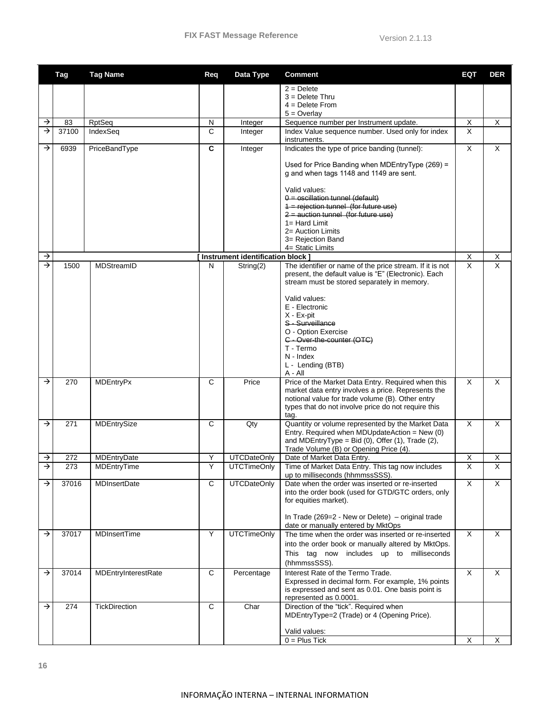|               | <b>Tag</b> | <b>Tag Name</b>      | Req          | Data Type                         | Comment                                                                                                  | <b>EQT</b>              | <b>DER</b>              |
|---------------|------------|----------------------|--------------|-----------------------------------|----------------------------------------------------------------------------------------------------------|-------------------------|-------------------------|
|               |            |                      |              |                                   | $2 =$ Delete                                                                                             |                         |                         |
|               |            |                      |              |                                   | $3 =$ Delete Thru                                                                                        |                         |                         |
|               |            |                      |              |                                   | $4 =$ Delete From                                                                                        |                         |                         |
| →             | 83         | <b>RptSeq</b>        | N            | Integer                           | $5 =$ Overlay<br>Sequence number per Instrument update.                                                  | $\mathsf{X}$            | X                       |
| →             | 37100      | IndexSeq             | C            | Integer                           | Index Value sequence number. Used only for index                                                         | $\overline{\mathsf{x}}$ |                         |
|               |            |                      |              |                                   | instruments.                                                                                             |                         |                         |
| →             | 6939       | PriceBandType        | C            | Integer                           | Indicates the type of price banding (tunnel):                                                            | X                       | X                       |
|               |            |                      |              |                                   | Used for Price Banding when MDEntryType (269) =                                                          |                         |                         |
|               |            |                      |              |                                   | g and when tags 1148 and 1149 are sent.                                                                  |                         |                         |
|               |            |                      |              |                                   |                                                                                                          |                         |                         |
|               |            |                      |              |                                   | Valid values:<br>0 = oscillation tunnel (default)                                                        |                         |                         |
|               |            |                      |              |                                   | 1 = rejection tunnel (for future use)                                                                    |                         |                         |
|               |            |                      |              |                                   | $2$ = auction tunnel (for future use)                                                                    |                         |                         |
|               |            |                      |              |                                   | $1 = Hard Limit$                                                                                         |                         |                         |
|               |            |                      |              |                                   | 2= Auction Limits<br>3= Rejection Band                                                                   |                         |                         |
|               |            |                      |              |                                   | 4= Static Limits                                                                                         |                         |                         |
| →             |            |                      |              | Instrument identification block ] |                                                                                                          | X                       | X                       |
| $\rightarrow$ | 1500       | MDStreamID           | N            | String(2)                         | The identifier or name of the price stream. If it is not                                                 | $\overline{\mathsf{x}}$ | $\overline{\mathsf{x}}$ |
|               |            |                      |              |                                   | present, the default value is "E" (Electronic). Each<br>stream must be stored separately in memory.      |                         |                         |
|               |            |                      |              |                                   |                                                                                                          |                         |                         |
|               |            |                      |              |                                   | Valid values:                                                                                            |                         |                         |
|               |            |                      |              |                                   | E - Electronic<br>X - Ex-pit                                                                             |                         |                         |
|               |            |                      |              |                                   | S - Surveillance                                                                                         |                         |                         |
|               |            |                      |              |                                   | O - Option Exercise                                                                                      |                         |                         |
|               |            |                      |              |                                   | C - Over-the-counter (OTC)                                                                               |                         |                         |
|               |            |                      |              |                                   | T - Termo<br>N - Index                                                                                   |                         |                         |
|               |            |                      |              |                                   | L - Lending (BTB)                                                                                        |                         |                         |
|               |            |                      |              |                                   | $A - All$                                                                                                |                         |                         |
| $\rightarrow$ | 270        | MDEntryPx            | C            | Price                             | Price of the Market Data Entry. Required when this<br>market data entry involves a price. Represents the | X                       | X                       |
|               |            |                      |              |                                   | notional value for trade volume (B). Other entry                                                         |                         |                         |
|               |            |                      |              |                                   | types that do not involve price do not require this                                                      |                         |                         |
| →             | 271        |                      | C            |                                   | tag.                                                                                                     | X                       | X                       |
|               |            | MDEntrySize          |              | Qty                               | Quantity or volume represented by the Market Data<br>Entry. Required when MDUpdateAction = New (0)       |                         |                         |
|               |            |                      |              |                                   | and MDEntryType = Bid $(0)$ , Offer $(1)$ , Trade $(2)$ ,                                                |                         |                         |
|               |            |                      |              |                                   | Trade Volume (B) or Opening Price (4).                                                                   |                         |                         |
| →<br>→        | 272        | MDEntryDate          | Υ            | <b>UTCDateOnly</b>                | Date of Market Data Entry.                                                                               | $\overline{X}$          | Χ                       |
|               | 273        | MDEntryTime          | Υ            | <b>UTCTimeOnly</b>                | Time of Market Data Entry. This tag now includes<br>up to milliseconds (hhmmssSSS).                      | $\overline{\mathsf{x}}$ | Χ                       |
| →             | 37016      | <b>MDInsertDate</b>  | $\mathsf{C}$ | <b>UTCDateOnly</b>                | Date when the order was inserted or re-inserted                                                          | X                       | X                       |
|               |            |                      |              |                                   | into the order book (used for GTD/GTC orders, only                                                       |                         |                         |
|               |            |                      |              |                                   | for equities market).                                                                                    |                         |                         |
|               |            |                      |              |                                   | In Trade (269=2 - New or Delete) - original trade                                                        |                         |                         |
|               |            |                      |              |                                   | date or manually entered by MktOps                                                                       |                         |                         |
| →             | 37017      | MDInsertTime         | Υ            | <b>UTCTimeOnly</b>                | The time when the order was inserted or re-inserted                                                      | X                       | X                       |
|               |            |                      |              |                                   | into the order book or manually altered by MktOps.<br>This tag now includes up to milliseconds           |                         |                         |
|               |            |                      |              |                                   | (hhmmssSSS).                                                                                             |                         |                         |
| →             | 37014      | MDEntryInterestRate  | $\mathsf{C}$ | Percentage                        | Interest Rate of the Termo Trade.                                                                        | X                       | X                       |
|               |            |                      |              |                                   | Expressed in decimal form. For example, 1% points                                                        |                         |                         |
|               |            |                      |              |                                   | is expressed and sent as 0.01. One basis point is                                                        |                         |                         |
| →             | 274        | <b>TickDirection</b> | C            | Char                              | represented as 0.0001.<br>Direction of the "tick". Required when                                         |                         |                         |
|               |            |                      |              |                                   | MDEntryType=2 (Trade) or 4 (Opening Price).                                                              |                         |                         |
|               |            |                      |              |                                   |                                                                                                          |                         |                         |
|               |            |                      |              |                                   | Valid values:<br>$0 =$ Plus Tick                                                                         | X                       | X                       |
|               |            |                      |              |                                   |                                                                                                          |                         |                         |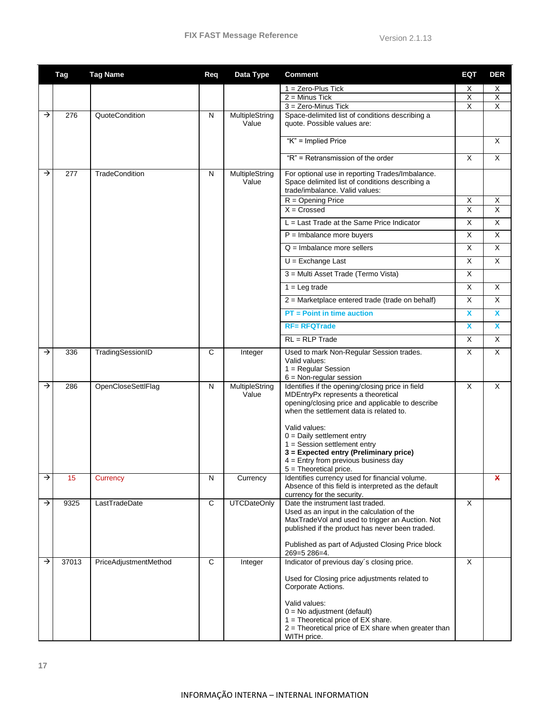|   | <b>Tag</b> | <b>Tag Name</b>       | Req | Data Type               | <b>Comment</b>                                                                                                                                                                                                                                                                                                                                                                         | <b>EQT</b>              | <b>DER</b>              |
|---|------------|-----------------------|-----|-------------------------|----------------------------------------------------------------------------------------------------------------------------------------------------------------------------------------------------------------------------------------------------------------------------------------------------------------------------------------------------------------------------------------|-------------------------|-------------------------|
|   |            |                       |     |                         | $1 =$ Zero-Plus Tick                                                                                                                                                                                                                                                                                                                                                                   | X                       | Х                       |
|   |            |                       |     |                         | $2 =$ Minus Tick                                                                                                                                                                                                                                                                                                                                                                       | X                       | X                       |
|   |            |                       |     |                         | $3 =$ Zero-Minus Tick                                                                                                                                                                                                                                                                                                                                                                  | $\overline{X}$          | X                       |
| → | 276        | QuoteCondition        | N   | MultipleString<br>Value | Space-delimited list of conditions describing a<br>quote. Possible values are:                                                                                                                                                                                                                                                                                                         |                         |                         |
|   |            |                       |     |                         | "K" = Implied Price                                                                                                                                                                                                                                                                                                                                                                    |                         | X                       |
|   |            |                       |     |                         | "R" = Retransmission of the order                                                                                                                                                                                                                                                                                                                                                      | X                       | X                       |
| → | 277        | <b>TradeCondition</b> | N   | MultipleString<br>Value | For optional use in reporting Trades/Imbalance.<br>Space delimited list of conditions describing a<br>trade/imbalance. Valid values:                                                                                                                                                                                                                                                   |                         |                         |
|   |            |                       |     |                         | $R =$ Opening Price                                                                                                                                                                                                                                                                                                                                                                    | $\overline{X}$          | X                       |
|   |            |                       |     |                         | $X = Crossed$                                                                                                                                                                                                                                                                                                                                                                          | $\overline{\mathsf{x}}$ | $\overline{\mathsf{x}}$ |
|   |            |                       |     |                         | $L =$ Last Trade at the Same Price Indicator                                                                                                                                                                                                                                                                                                                                           | X                       | X                       |
|   |            |                       |     |                         | $P =$ Imbalance more buyers                                                                                                                                                                                                                                                                                                                                                            | X                       | X                       |
|   |            |                       |     |                         | $Q =$ Imbalance more sellers                                                                                                                                                                                                                                                                                                                                                           | X                       | X                       |
|   |            |                       |     |                         | $U = Exchange$ Last                                                                                                                                                                                                                                                                                                                                                                    | X                       | X                       |
|   |            |                       |     |                         | 3 = Multi Asset Trade (Termo Vista)                                                                                                                                                                                                                                                                                                                                                    | X                       |                         |
|   |            |                       |     |                         | $1 = Leg trade$                                                                                                                                                                                                                                                                                                                                                                        | X                       | X                       |
|   |            |                       |     |                         | $2$ = Marketplace entered trade (trade on behalf)                                                                                                                                                                                                                                                                                                                                      | X                       | X                       |
|   |            |                       |     |                         | $PT = Point$ in time auction                                                                                                                                                                                                                                                                                                                                                           | X                       | X                       |
|   |            |                       |     |                         | <b>RF= RFQTrade</b>                                                                                                                                                                                                                                                                                                                                                                    | X                       | X                       |
|   |            |                       |     |                         | $RL = RLP Trade$                                                                                                                                                                                                                                                                                                                                                                       | X                       | X                       |
| → | 336        | TradingSessionID      | C   | Integer                 | Used to mark Non-Regular Session trades.<br>Valid values:<br>1 = Regular Session<br>$6 = Non-regular session$                                                                                                                                                                                                                                                                          | X                       | X                       |
| → | 286        | OpenCloseSettlFlag    | N   | MultipleString<br>Value | Identifies if the opening/closing price in field<br>MDEntryPx represents a theoretical<br>opening/closing price and applicable to describe<br>when the settlement data is related to.<br>Valid values:<br>$0 =$ Daily settlement entry<br>$1 =$ Session settlement entry<br>3 = Expected entry (Preliminary price)<br>$4$ = Entry from previous business day<br>5 = Theoretical price. | X                       | X                       |
| → | 15         | Currency              | N   | Currency                | Identifies currency used for financial volume.<br>Absence of this field is interpreted as the default<br>currency for the security.                                                                                                                                                                                                                                                    |                         | X                       |
| → | 9325       | LastTradeDate         | C   | <b>UTCDateOnly</b>      | Date the instrument last traded.<br>Used as an input in the calculation of the<br>MaxTradeVol and used to trigger an Auction. Not<br>published if the product has never been traded.<br>Published as part of Adjusted Closing Price block<br>269=5 286=4.                                                                                                                              | X                       |                         |
| → | 37013      | PriceAdjustmentMethod | C   | Integer                 | Indicator of previous day's closing price.<br>Used for Closing price adjustments related to<br>Corporate Actions.<br>Valid values:<br>$0 = No$ adjustment (default)<br>$1 =$ Theoretical price of EX share.                                                                                                                                                                            | X                       |                         |
|   |            |                       |     |                         | 2 = Theoretical price of EX share when greater than<br>WITH price.                                                                                                                                                                                                                                                                                                                     |                         |                         |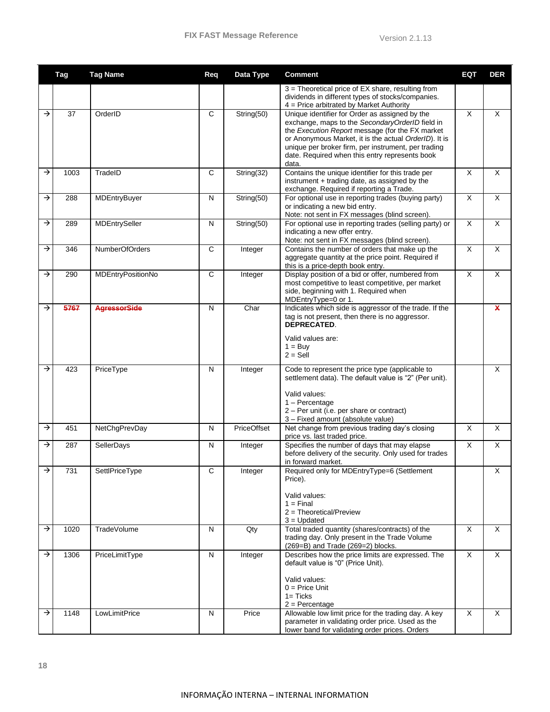|               | <b>Tag</b>   | <b>Tag Name</b>                 | Req          | Data Type        | <b>Comment</b>                                                                                                                                                                                                                                                                                                                  | <b>EQT</b>                                | <b>DER</b>                   |
|---------------|--------------|---------------------------------|--------------|------------------|---------------------------------------------------------------------------------------------------------------------------------------------------------------------------------------------------------------------------------------------------------------------------------------------------------------------------------|-------------------------------------------|------------------------------|
|               |              |                                 |              |                  | 3 = Theoretical price of EX share, resulting from<br>dividends in different types of stocks/companies.<br>$4$ = Price arbitrated by Market Authority                                                                                                                                                                            |                                           |                              |
| $\rightarrow$ | 37           | OrderID                         | $\mathsf{C}$ | String(50)       | Unique identifier for Order as assigned by the<br>exchange, maps to the SecondaryOrderID field in<br>the Execution Report message (for the FX market<br>or Anonymous Market, it is the actual OrderID). It is<br>unique per broker firm, per instrument, per trading<br>date. Required when this entry represents book<br>data. | $\overline{\mathsf{x}}$                   | X                            |
| $\rightarrow$ | 1003         | TradeID                         | C            | String(32)       | Contains the unique identifier for this trade per<br>instrument + trading date, as assigned by the<br>exchange. Required if reporting a Trade.                                                                                                                                                                                  | X                                         | X                            |
| →             | 288          | MDEntryBuyer                    | N            | String(50)       | For optional use in reporting trades (buying party)<br>or indicating a new bid entry.<br>Note: not sent in FX messages (blind screen).                                                                                                                                                                                          | X                                         | X                            |
| →             | 289          | MDEntrySeller                   | Ν            | String(50)       | For optional use in reporting trades (selling party) or<br>indicating a new offer entry.<br>Note: not sent in FX messages (blind screen).                                                                                                                                                                                       | X                                         | X                            |
| →             | 346          | NumberOfOrders                  | C            | Integer          | Contains the number of orders that make up the<br>aggregate quantity at the price point. Required if<br>this is a price-depth book entry.                                                                                                                                                                                       | X                                         | X                            |
| $\rightarrow$ | 290          | MDEntryPositionNo               | $\mathsf{C}$ | Integer          | Display position of a bid or offer, numbered from<br>most competitive to least competitive, per market<br>side, beginning with 1. Required when<br>MDEntryType=0 or 1.                                                                                                                                                          | X                                         | X                            |
| →             | 5767         | <b>AgressorSide</b>             | N            | Char             | Indicates which side is aggressor of the trade. If the<br>tag is not present, then there is no aggressor.<br><b>DEPRECATED.</b><br>Valid values are:<br>$1 = Buy$<br>$2 =$ Sell                                                                                                                                                 |                                           | $\mathbf x$                  |
| $\rightarrow$ | 423          | PriceType                       | N            | Integer          | Code to represent the price type (applicable to<br>settlement data). The default value is "2" (Per unit).<br>Valid values:<br>$1 -$ Percentage<br>2 - Per unit (i.e. per share or contract)<br>3 - Fixed amount (absolute value)                                                                                                |                                           | X                            |
| →             | 451          | NetChgPrevDay                   | N            | PriceOffset      | Net change from previous trading day's closing<br>price vs. last traded price.                                                                                                                                                                                                                                                  | X                                         | X                            |
| →             | 287          | SellerDays                      | N            | Integer          | Specifies the number of days that may elapse<br>before delivery of the security. Only used for trades<br>in forward market.                                                                                                                                                                                                     | X                                         | X                            |
| →             | 731          | SettlPriceType                  | С            | Integer          | Required only for MDEntryType=6 (Settlement<br>Price).<br>Valid values:<br>$1 =$ Final<br>$2 = Theoretical/Preview$<br>$3 =$ Updated                                                                                                                                                                                            |                                           | х                            |
| →             | 1020         | TradeVolume                     | N            | Qty              | Total traded quantity (shares/contracts) of the<br>trading day. Only present in the Trade Volume<br>(269=B) and Trade (269=2) blocks.                                                                                                                                                                                           | $\overline{X}$                            | X                            |
| →<br>→        | 1306<br>1148 | PriceLimitType<br>LowLimitPrice | N<br>N       | Integer<br>Price | Describes how the price limits are expressed. The<br>default value is "0" (Price Unit).<br>Valid values:<br>$0 = Price Unit$<br>$1 =$ Ticks<br>$2 =$ Percentage<br>Allowable low limit price for the trading day. A key                                                                                                         | $\overline{X}$<br>$\overline{\mathsf{x}}$ | X<br>$\overline{\mathsf{x}}$ |
|               |              |                                 |              |                  | parameter in validating order price. Used as the<br>lower band for validating order prices. Orders                                                                                                                                                                                                                              |                                           |                              |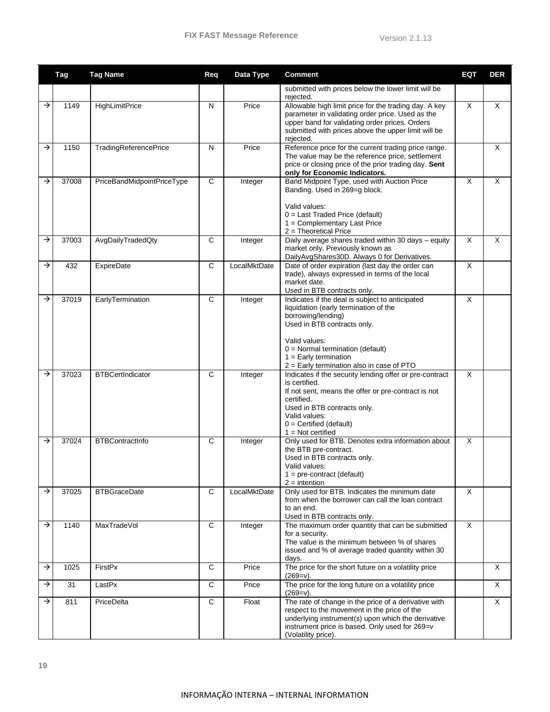|               | <b>Tag</b> | <b>Tag Name</b>            | Req          | Data Type    | <b>Comment</b>                                                                                                                                                                                                                                                               | <b>EQT</b> | <b>DER</b> |
|---------------|------------|----------------------------|--------------|--------------|------------------------------------------------------------------------------------------------------------------------------------------------------------------------------------------------------------------------------------------------------------------------------|------------|------------|
|               |            |                            |              |              | submitted with prices below the lower limit will be<br>rejected.                                                                                                                                                                                                             |            |            |
| →             | 1149       | <b>HighLimitPrice</b>      | N            | Price        | Allowable high limit price for the trading day. A key<br>parameter in validating order price. Used as the<br>upper band for validating order prices. Orders<br>submitted with prices above the upper limit will be<br>rejected.                                              | $\times$   | X          |
| →             | 1150       | TradingReferencePrice      | N            | Price        | Reference price for the current trading price range.<br>The value may be the reference price, settlement<br>price or closing price of the prior trading day. Sent<br>only for Economic Indicators.                                                                           |            | X          |
| →             | 37008      | PriceBandMidpointPriceType | $\mathsf{C}$ | Integer      | Band Midpoint Type, used with Auction Price<br>Banding. Used in 269=g block.<br>Valid values:<br>$0 =$ Last Traded Price (default)<br>$1 =$ Complementary Last Price<br>$2$ = Theoretical Price                                                                              | $\times$   | X          |
| →             | 37003      | AvgDailyTradedQty          | C            | Integer      | Daily average shares traded within 30 days - equity<br>market only. Previously known as<br>DailyAvgShares30D. Always 0 for Derivatives.                                                                                                                                      | $\times$   | X          |
| →             | 432        | <b>ExpireDate</b>          | C            | LocalMktDate | Date of order expiration (last day the order can<br>trade), always expressed in terms of the local<br>market date.<br>Used in BTB contracts only.                                                                                                                            | X          |            |
| →             | 37019      | EarlyTermination           | C            | Integer      | Indicates if the deal is subject to anticipated<br>liquidation (early termination of the<br>borrowing/lending)<br>Used in BTB contracts only.<br>Valid values:<br>$0 =$ Normal termination (default)<br>$1 =$ Early termination<br>2 = Early termination also in case of PTO | $\times$   |            |
| →             | 37023      | <b>BTBCertIndicator</b>    | C            | Integer      | Indicates if the security lending offer or pre-contract<br>is certified.<br>If not sent, means the offer or pre-contract is not<br>certified.<br>Used in BTB contracts only.<br>Valid values:<br>$0 =$ Certified (default)<br>$1 = Not$ certified                            | $\times$   |            |
| →             | 37024      | <b>BTBContractInfo</b>     | C            | Integer      | Only used for BTB. Denotes extra information about<br>the BTB pre-contract.<br>Used in BTB contracts only.<br>Valid values:<br>$1 = pre-contract (default)$<br>$2 =$ intention                                                                                               | X          |            |
| →             | 37025      | <b>BTBGraceDate</b>        | C            | LocalMktDate | Only used for BTB. Indicates the minimum date<br>from when the borrower can call the loan contract<br>to an end.<br>Used in BTB contracts only.                                                                                                                              | $\times$   |            |
| →             | 1140       | MaxTradeVol                | C            | Integer      | The maximum order quantity that can be submitted<br>for a security.<br>The value is the minimum between % of shares<br>issued and % of average traded quantity within 30<br>days.                                                                                            | X          |            |
| $\rightarrow$ | 1025       | FirstPx                    | C            | Price        | The price for the short future on a volatility price<br>$(269=v).$                                                                                                                                                                                                           |            | X          |
| →             | 31         | LastPx                     | C            | Price        | The price for the long future on a volatility price<br>$(269=v).$                                                                                                                                                                                                            |            | X          |
| →             | 811        | PriceDelta                 | $\mathbf C$  | Float        | The rate of change in the price of a derivative with<br>respect to the movement in the price of the<br>underlying instrument(s) upon which the derivative<br>instrument price is based. Only used for 269=v<br>(Volatility price).                                           |            | X          |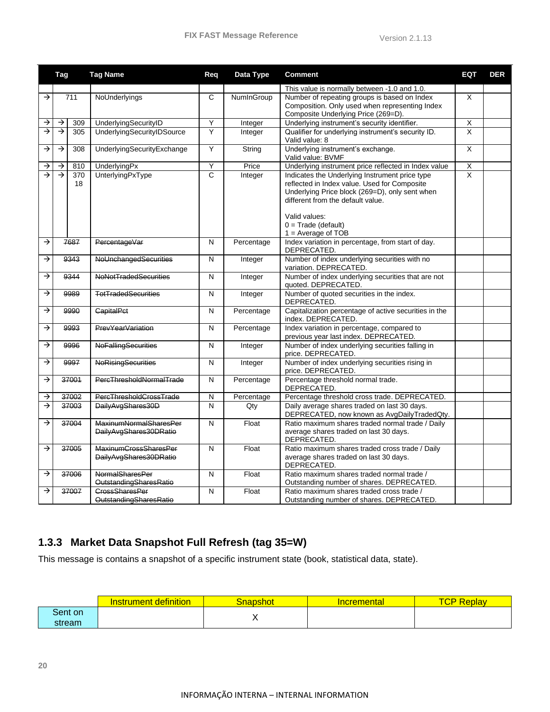|               | Tag           |       | <b>Tag Name</b>                 | Req            | Data Type  | <b>Comment</b>                                                        | EQT                     | <b>DER</b> |
|---------------|---------------|-------|---------------------------------|----------------|------------|-----------------------------------------------------------------------|-------------------------|------------|
|               |               |       |                                 |                |            | This value is normally between -1.0 and 1.0.                          |                         |            |
| $\rightarrow$ |               | 711   | NoUnderlyings                   | C              | NumInGroup | Number of repeating groups is based on Index                          | X                       |            |
|               |               |       |                                 |                |            | Composition. Only used when representing Index                        |                         |            |
|               |               |       |                                 |                |            | Composite Underlying Price (269=D).                                   |                         |            |
| →             | →             | 309   | UnderlyingSecurityID            | Υ              | Integer    | Underlying instrument's security identifier.                          | $\overline{\mathsf{X}}$ |            |
| ⋺             | $\rightarrow$ | 305   | UnderlyingSecurityIDSource      | Ÿ              | Integer    | Qualifier for underlying instrument's security ID.                    | $\overline{\mathsf{x}}$ |            |
| →             | $\rightarrow$ | 308   | UnderlyingSecurityExchange      | $\overline{Y}$ | String     | Valid value: 8<br>Underlying instrument's exchange.                   | $\overline{\mathsf{x}}$ |            |
|               |               |       |                                 |                |            | Valid value: BVMF                                                     |                         |            |
| →             | $\rightarrow$ | 810   | UnderlyingPx                    | Υ              | Price      | Underlying instrument price reflected in Index value                  | $\overline{\mathsf{X}}$ |            |
| →             | $\rightarrow$ | 370   | <b>UnterlyingPxType</b>         | $\overline{c}$ | Integer    | Indicates the Underlying Instrument price type                        | X                       |            |
|               |               | 18    |                                 |                |            | reflected in Index value. Used for Composite                          |                         |            |
|               |               |       |                                 |                |            | Underlying Price block (269=D), only sent when                        |                         |            |
|               |               |       |                                 |                |            | different from the default value.                                     |                         |            |
|               |               |       |                                 |                |            | Valid values:                                                         |                         |            |
|               |               |       |                                 |                |            | $0 = Trade (default)$                                                 |                         |            |
|               |               |       |                                 |                |            | $1 = Average of TOB$                                                  |                         |            |
| →             |               | 7687  | PercentageVar                   | N              | Percentage | Index variation in percentage, from start of day.                     |                         |            |
|               |               |       |                                 |                |            | DEPRECATED.                                                           |                         |            |
| →             |               | 9343  | NoUnchangedSecurities           | N              | Integer    | Number of index underlying securities with no                         |                         |            |
|               |               |       |                                 |                |            | variation. DEPRECATED.                                                |                         |            |
| →             |               | 9344  | NoNotTradedSecurities           | N              | Integer    | Number of index underlying securities that are not                    |                         |            |
| →             |               | 9989  | <b>TotTradedSecurities</b>      | $\mathsf{N}$   | Integer    | quoted. DEPRECATED.<br>Number of quoted securities in the index.      |                         |            |
|               |               |       |                                 |                |            | DEPRECATED.                                                           |                         |            |
| →             |               | 9990  | <b>CapitalPct</b>               | N              | Percentage | Capitalization percentage of active securities in the                 |                         |            |
|               |               |       |                                 |                |            | index. DEPRECATED.                                                    |                         |            |
| →             |               | 9993  | PrevYearVariation               | N              | Percentage | Index variation in percentage, compared to                            |                         |            |
|               |               |       |                                 |                |            | previous year last index. DEPRECATED.                                 |                         |            |
| →             |               | 9996  | <b>NoFallingSecurities</b>      | N              | Integer    | Number of index underlying securities falling in                      |                         |            |
| →             |               |       | <b>NoRisingSecurities</b>       | $\mathsf{N}$   |            | price. DEPRECATED.<br>Number of index underlying securities rising in |                         |            |
|               |               | 9997  |                                 |                | Integer    | price. DEPRECATED.                                                    |                         |            |
| $\rightarrow$ |               | 37001 | <b>PercThresholdNormalTrade</b> | N              | Percentage | Percentage threshold normal trade.                                    |                         |            |
|               |               |       |                                 |                |            | DEPRECATED.                                                           |                         |            |
| →             |               | 37002 | PercThresholdCrossTrade         | N              | Percentage | Percentage threshold cross trade. DEPRECATED.                         |                         |            |
| →             |               | 37003 | DailyAvgShares30D               | $\mathsf{N}$   | Qty        | Daily average shares traded on last 30 days.                          |                         |            |
|               |               |       |                                 |                |            | DEPRECATED, now known as AvgDailyTradedQty.                           |                         |            |
| $\rightarrow$ |               | 37004 | <b>MaxinumNormalSharesPer</b>   | N              | Float      | Ratio maximum shares traded normal trade / Daily                      |                         |            |
|               |               |       | DailyAvgShares30DRatio          |                |            | average shares traded on last 30 days.                                |                         |            |
| →             |               | 37005 | <b>MaxinumCrossSharesPer</b>    | N              | Float      | DEPRECATED.<br>Ratio maximum shares traded cross trade / Daily        |                         |            |
|               |               |       | DailyAvgShares30DRatio          |                |            | average shares traded on last 30 days.                                |                         |            |
|               |               |       |                                 |                |            | DEPRECATED.                                                           |                         |            |
| →             |               | 37006 | <b>NormalSharesPer</b>          | N              | Float      | Ratio maximum shares traded normal trade /                            |                         |            |
|               |               |       | OutstandingSharesRatio          |                |            | Outstanding number of shares. DEPRECATED.                             |                         |            |
| →             |               | 37007 | <b>CrossSharesPer</b>           | N              | Float      | Ratio maximum shares traded cross trade /                             |                         |            |
|               |               |       | OutstandingSharesRatio          |                |            | Outstanding number of shares. DEPRECATED.                             |                         |            |

#### <span id="page-20-0"></span>**1.3.3 Market Data Snapshot Full Refresh (tag 35=W)**

This message is contains a snapshot of a specific instrument state (book, statistical data, state).

|         | definition<br><b>Instrument</b> | Snapshot | <b>cremental</b> | TOD<br>Replav<br>u |
|---------|---------------------------------|----------|------------------|--------------------|
| Sent on |                                 |          |                  |                    |
| stream  |                                 | $\cdot$  |                  |                    |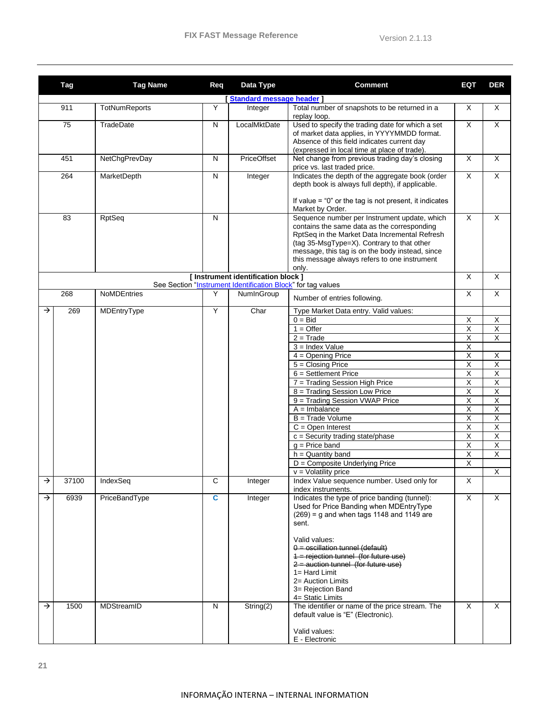|               | Tag   | <b>Tag Name</b>    | Req | Data Type                                                                                           | <b>Comment</b>                                                                                                                                                                                                                                                                                                                     | EQT                     | <b>DER</b>              |
|---------------|-------|--------------------|-----|-----------------------------------------------------------------------------------------------------|------------------------------------------------------------------------------------------------------------------------------------------------------------------------------------------------------------------------------------------------------------------------------------------------------------------------------------|-------------------------|-------------------------|
|               |       |                    |     | [Standard message header]                                                                           |                                                                                                                                                                                                                                                                                                                                    |                         |                         |
|               | 911   | TotNumReports      | Υ   | Integer                                                                                             | Total number of snapshots to be returned in a<br>replay loop.                                                                                                                                                                                                                                                                      | X                       | X                       |
|               | 75    | TradeDate          | N   | LocalMktDate                                                                                        | Used to specify the trading date for which a set<br>of market data applies, in YYYYMMDD format.<br>Absence of this field indicates current day<br>(expressed in local time at place of trade).                                                                                                                                     | $\overline{\mathsf{x}}$ | X                       |
|               | 451   | NetChgPrevDay      | N   | PriceOffset                                                                                         | Net change from previous trading day's closing<br>price vs. last traded price.                                                                                                                                                                                                                                                     | $\overline{\mathsf{x}}$ | X                       |
|               | 264   | MarketDepth        | N   | Integer                                                                                             | Indicates the depth of the aggregate book (order<br>depth book is always full depth), if applicable.                                                                                                                                                                                                                               | $\overline{\mathsf{x}}$ | X                       |
|               |       |                    |     |                                                                                                     | If value $=$ "0" or the tag is not present, it indicates<br>Market by Order.                                                                                                                                                                                                                                                       |                         |                         |
|               | 83    | RptSeq             | N   |                                                                                                     | Sequence number per Instrument update, which<br>contains the same data as the corresponding<br>RptSeq in the Market Data Incremental Refresh<br>(tag 35-MsgType=X). Contrary to that other<br>message, this tag is on the body instead, since<br>this message always refers to one instrument<br>only.                             | $\overline{\mathsf{x}}$ | X                       |
|               |       |                    |     | [ Instrument identification block ]<br>See Section "Instrument Identification Block" for tag values |                                                                                                                                                                                                                                                                                                                                    | $\pmb{\times}$          | X                       |
|               | 268   | <b>NoMDEntries</b> | Y   | NumInGroup                                                                                          | Number of entries following.                                                                                                                                                                                                                                                                                                       | $\overline{\mathsf{x}}$ | $\overline{X}$          |
| →             | 269   | MDEntryType        | Y   | Char                                                                                                | Type Market Data entry. Valid values:<br>$0 = Bid$                                                                                                                                                                                                                                                                                 |                         |                         |
|               |       |                    |     |                                                                                                     |                                                                                                                                                                                                                                                                                                                                    | X                       | X                       |
|               |       |                    |     |                                                                                                     | $1 =$ Offer                                                                                                                                                                                                                                                                                                                        | $\overline{\mathsf{x}}$ | $\overline{\mathsf{X}}$ |
|               |       |                    |     |                                                                                                     | $2 = Trade$                                                                                                                                                                                                                                                                                                                        | $\overline{\mathsf{x}}$ | $\overline{\mathsf{X}}$ |
|               |       |                    |     |                                                                                                     | $3 =$ Index Value                                                                                                                                                                                                                                                                                                                  | $\overline{\mathsf{x}}$ |                         |
|               |       |                    |     |                                                                                                     | $4 =$ Opening Price                                                                                                                                                                                                                                                                                                                | X                       | $\mathsf X$             |
|               |       |                    |     |                                                                                                     | $5 = Closing Price$                                                                                                                                                                                                                                                                                                                | $\overline{\mathsf{x}}$ | $\overline{\mathsf{X}}$ |
|               |       |                    |     |                                                                                                     | $6 =$ Settlement Price                                                                                                                                                                                                                                                                                                             | X                       | $\overline{\mathsf{X}}$ |
|               |       |                    |     |                                                                                                     | 7 = Trading Session High Price                                                                                                                                                                                                                                                                                                     | Χ                       | X                       |
|               |       |                    |     |                                                                                                     | 8 = Trading Session Low Price                                                                                                                                                                                                                                                                                                      | $\overline{X}$          | $\overline{X}$          |
|               |       |                    |     |                                                                                                     | 9 = Trading Session VWAP Price                                                                                                                                                                                                                                                                                                     | $\overline{X}$          | $\overline{\mathsf{X}}$ |
|               |       |                    |     |                                                                                                     | $A =$ Imbalance                                                                                                                                                                                                                                                                                                                    | Χ                       | $\overline{\mathsf{X}}$ |
|               |       |                    |     |                                                                                                     | $B = Trade Volume$                                                                                                                                                                                                                                                                                                                 | $\overline{\mathsf{x}}$ | $\overline{\mathsf{X}}$ |
|               |       |                    |     |                                                                                                     | $C =$ Open Interest                                                                                                                                                                                                                                                                                                                | $\overline{\mathsf{x}}$ | $\overline{\mathsf{X}}$ |
|               |       |                    |     |                                                                                                     | $c =$ Security trading state/phase                                                                                                                                                                                                                                                                                                 | Χ                       | $\overline{\mathsf{X}}$ |
|               |       |                    |     |                                                                                                     | $g$ = Price band                                                                                                                                                                                                                                                                                                                   | $\overline{\mathsf{x}}$ | $\overline{\mathsf{X}}$ |
|               |       |                    |     |                                                                                                     | $h =$ Quantity band                                                                                                                                                                                                                                                                                                                | $\overline{X}$          | $\overline{X}$          |
|               |       |                    |     |                                                                                                     | $D =$ Composite Underlying Price                                                                                                                                                                                                                                                                                                   | Χ                       |                         |
|               |       |                    |     |                                                                                                     | $v =$ Volatility price                                                                                                                                                                                                                                                                                                             |                         | $\overline{\mathsf{x}}$ |
| →             | 37100 | IndexSeq           | С   | Integer                                                                                             | Index Value sequence number. Used only for<br>index instruments.                                                                                                                                                                                                                                                                   | X                       |                         |
| $\rightarrow$ | 6939  | PriceBandType      | C.  | Integer                                                                                             | Indicates the type of price banding (tunnel):<br>Used for Price Banding when MDEntryType<br>$(269)$ = g and when tags 1148 and 1149 are<br>sent.<br>Valid values:<br>$0 =$ oscillation tunnel (default)<br>1 = rejection tunnel (for future use)<br>$2$ = auction tunnel (for future use)<br>$1 = Hard Limit$<br>2= Auction Limits | $\times$                | X                       |
| $\rightarrow$ | 1500  | MDStreamID         | N   | String(2)                                                                                           | 3= Rejection Band<br>4= Static Limits<br>The identifier or name of the price stream. The                                                                                                                                                                                                                                           | $\times$                | X                       |
|               |       |                    |     |                                                                                                     | default value is "E" (Electronic).<br>Valid values:<br>E - Electronic                                                                                                                                                                                                                                                              |                         |                         |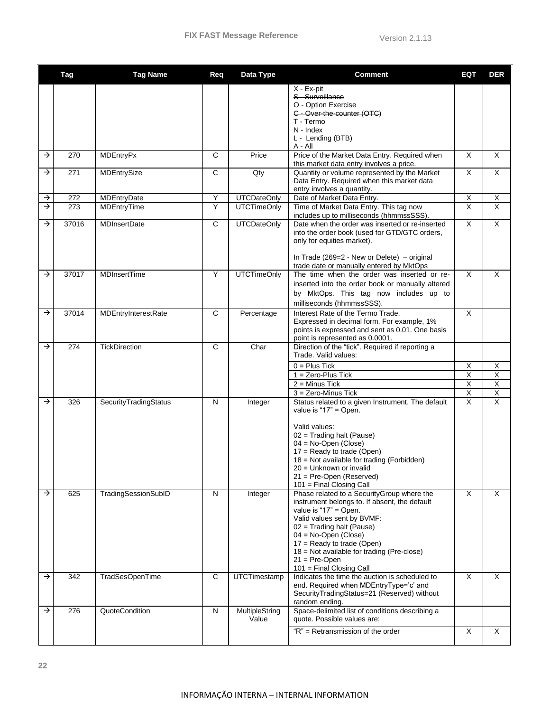|               | Tag   | <b>Tag Name</b>       | Req            | Data Type               | <b>Comment</b>                                                                                                                                                                                                                                                                                                                               | <b>EQT</b>                                | <b>DER</b>                            |
|---------------|-------|-----------------------|----------------|-------------------------|----------------------------------------------------------------------------------------------------------------------------------------------------------------------------------------------------------------------------------------------------------------------------------------------------------------------------------------------|-------------------------------------------|---------------------------------------|
|               |       |                       |                |                         | X - Ex-pit<br>S - Surveillance<br>O - Option Exercise<br>C - Over-the-counter (OTC)<br>T - Termo<br>N - Index<br>L - Lending (BTB)<br>A - All                                                                                                                                                                                                |                                           |                                       |
| $\rightarrow$ | 270   | <b>MDEntryPx</b>      | $\mathsf{C}$   | Price                   | Price of the Market Data Entry. Required when<br>this market data entry involves a price.                                                                                                                                                                                                                                                    | X                                         | X                                     |
| $\rightarrow$ | 271   | MDEntrySize           | C              | Qty                     | Quantity or volume represented by the Market<br>Data Entry. Required when this market data<br>entry involves a quantity.                                                                                                                                                                                                                     | X                                         | X                                     |
| $\rightarrow$ | 272   | MDEntryDate           | Υ              | <b>UTCDateOnly</b>      | Date of Market Data Entry.                                                                                                                                                                                                                                                                                                                   | $\overline{\mathsf{x}}$                   | X                                     |
| $\rightarrow$ | 273   | MDEntryTime           | Υ              | <b>UTCTimeOnly</b>      | Time of Market Data Entry. This tag now<br>includes up to milliseconds (hhmmssSSS).                                                                                                                                                                                                                                                          | $\overline{\mathsf{x}}$                   | $\overline{\mathsf{x}}$               |
| →             | 37016 | <b>MDInsertDate</b>   | $\overline{c}$ | <b>UTCDateOnly</b>      | Date when the order was inserted or re-inserted<br>into the order book (used for GTD/GTC orders,<br>only for equities market).<br>In Trade (269=2 - New or Delete) – original<br>trade date or manually entered by MktOps                                                                                                                    | $\overline{\mathsf{x}}$                   | $\overline{X}$                        |
| $\rightarrow$ | 37017 | <b>MDInsertTime</b>   | Y              | <b>UTCTimeOnly</b>      | The time when the order was inserted or re-<br>inserted into the order book or manually altered<br>by MktOps. This tag now includes up to<br>milliseconds (hhmmssSSS).                                                                                                                                                                       | X                                         | X                                     |
| →             | 37014 | MDEntryInterestRate   | $\mathsf{C}$   | Percentage              | Interest Rate of the Termo Trade.<br>Expressed in decimal form. For example, 1%<br>points is expressed and sent as 0.01. One basis<br>point is represented as 0.0001.                                                                                                                                                                        | X                                         |                                       |
| $\rightarrow$ | 274   | <b>TickDirection</b>  | $\mathsf{C}$   | Char                    | Direction of the "tick". Required if reporting a<br>Trade. Valid values:<br>$0 =$ Plus Tick<br>$1 = Zero-Plus Tick$<br>$2 =$ Minus Tick                                                                                                                                                                                                      | X<br>$\overline{X}$<br>X                  | X<br>$\overline{X}$<br>$\overline{X}$ |
| $\rightarrow$ | 326   | SecurityTradingStatus | N              | Integer                 | $3 =$ Zero-Minus Tick<br>Status related to a given Instrument. The default<br>value is "17" = Open.<br>Valid values:<br>$02 =$ Trading halt (Pause)<br>$04 = No-Open$ (Close)<br>17 = Ready to trade (Open)<br>18 = Not available for trading (Forbidden)<br>20 = Unknown or invalid<br>21 = Pre-Open (Reserved)<br>101 = Final Closing Call | $\overline{\mathsf{X}}$<br>$\pmb{\times}$ | $\overline{\mathsf{X}}$<br>X          |
| →             | 625   | TradingSessionSubID   | N              | Integer                 | Phase related to a SecurityGroup where the<br>instrument belongs to. If absent, the default<br>value is "17" = Open.<br>Valid values sent by BVMF:<br>02 = Trading halt (Pause)<br>04 = No-Open (Close)<br>$17 =$ Ready to trade (Open)<br>18 = Not available for trading (Pre-close)<br>$21 = Pre-Open$<br>101 = Final Closing Call         | X                                         | X                                     |
| →             | 342   | TradSesOpenTime       | $\mathbf C$    | UTCTimestamp            | Indicates the time the auction is scheduled to<br>end. Required when MDEntryType='c' and<br>SecurityTradingStatus=21 (Reserved) without<br>random ending.                                                                                                                                                                                    | X                                         | X                                     |
| →             | 276   | QuoteCondition        | N              | MultipleString<br>Value | Space-delimited list of conditions describing a<br>quote. Possible values are:                                                                                                                                                                                                                                                               |                                           |                                       |
|               |       |                       |                |                         | "R" = Retransmission of the order                                                                                                                                                                                                                                                                                                            | X                                         | X                                     |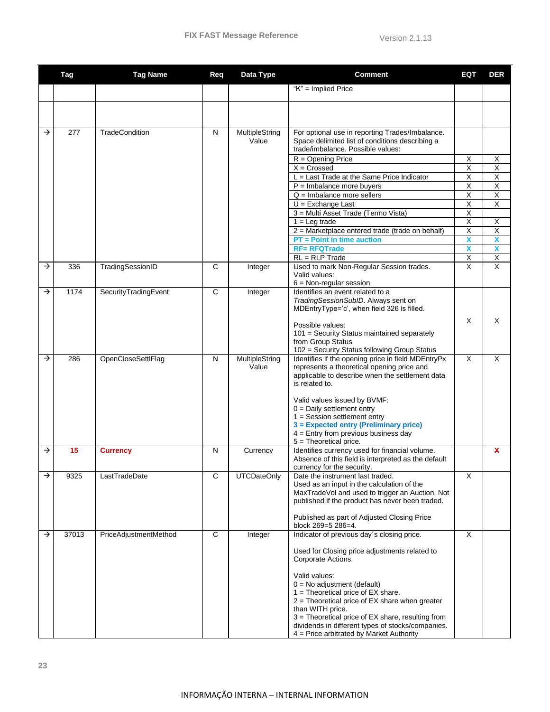|               | <b>Tag</b> | <b>Tag Name</b>       | Req          | Data Type               | <b>Comment</b>                                                                                     | EQT                          | <b>DER</b>                   |
|---------------|------------|-----------------------|--------------|-------------------------|----------------------------------------------------------------------------------------------------|------------------------------|------------------------------|
|               |            |                       |              |                         | " $K$ " = Implied Price                                                                            |                              |                              |
|               |            |                       |              |                         |                                                                                                    |                              |                              |
|               |            |                       |              |                         |                                                                                                    |                              |                              |
|               |            |                       |              |                         |                                                                                                    |                              |                              |
| →             | 277        | <b>TradeCondition</b> | N            | MultipleString<br>Value | For optional use in reporting Trades/Imbalance.<br>Space delimited list of conditions describing a |                              |                              |
|               |            |                       |              |                         | trade/imbalance. Possible values:                                                                  |                              |                              |
|               |            |                       |              |                         | $R =$ Opening Price                                                                                | X                            | Х                            |
|               |            |                       |              |                         | $X = Crossed$                                                                                      | $\overline{\mathsf{x}}$      | $\overline{\mathsf{X}}$      |
|               |            |                       |              |                         | $L =$ Last Trade at the Same Price Indicator<br>$P =$ Imbalance more buyers                        | $\overline{\mathsf{x}}$<br>Χ | $\overline{\mathsf{X}}$<br>X |
|               |            |                       |              |                         | $Q =$ Imbalance more sellers                                                                       | X                            | $\overline{\mathsf{x}}$      |
|               |            |                       |              |                         | $U = Exchange$ Last                                                                                | $\overline{\mathsf{x}}$      | $\overline{\mathsf{X}}$      |
|               |            |                       |              |                         | 3 = Multi Asset Trade (Termo Vista)                                                                | Χ                            |                              |
|               |            |                       |              |                         | $1 = Leg trade$                                                                                    | $\overline{\mathsf{x}}$      | X                            |
|               |            |                       |              |                         | 2 = Marketplace entered trade (trade on behalf)<br>$PT = Point$ in time auction                    | $\overline{\mathsf{x}}$<br>X | $\overline{\mathsf{x}}$<br>X |
|               |            |                       |              |                         | <b>RF= RFQTrade</b>                                                                                | $\overline{\mathbf{X}}$      | X                            |
|               |            |                       |              |                         | $RL = RLP Trade$                                                                                   | $\overline{X}$               | $\overline{\mathsf{X}}$      |
| $\rightarrow$ | 336        | TradingSessionID      | $\mathsf{C}$ | Integer                 | Used to mark Non-Regular Session trades.                                                           | $\overline{\mathsf{x}}$      | $\overline{\mathsf{x}}$      |
|               |            |                       |              |                         | Valid values:                                                                                      |                              |                              |
| $\rightarrow$ | 1174       | SecurityTradingEvent  | C            | Integer                 | $6 = Non-regular session$<br>Identifies an event related to a                                      |                              |                              |
|               |            |                       |              |                         | TradingSessionSubID. Always sent on                                                                |                              |                              |
|               |            |                       |              |                         | MDEntryType='c', when field 326 is filled.                                                         |                              |                              |
|               |            |                       |              |                         |                                                                                                    | X                            | X                            |
|               |            |                       |              |                         | Possible values:<br>101 = Security Status maintained separately                                    |                              |                              |
|               |            |                       |              |                         | from Group Status                                                                                  |                              |                              |
|               |            |                       |              |                         | 102 = Security Status following Group Status                                                       |                              |                              |
| →             | 286        | OpenCloseSettlFlag    | N            | MultipleString<br>Value | Identifies if the opening price in field MDEntryPx<br>represents a theoretical opening price and   | $\times$                     | X                            |
|               |            |                       |              |                         | applicable to describe when the settlement data                                                    |                              |                              |
|               |            |                       |              |                         | is related to.                                                                                     |                              |                              |
|               |            |                       |              |                         |                                                                                                    |                              |                              |
|               |            |                       |              |                         | Valid values issued by BVMF:<br>$0 =$ Daily settlement entry                                       |                              |                              |
|               |            |                       |              |                         | $1 =$ Session settlement entry                                                                     |                              |                              |
|               |            |                       |              |                         | 3 = Expected entry (Preliminary price)                                                             |                              |                              |
|               |            |                       |              |                         | $4 =$ Entry from previous business day<br>$5 =$ Theoretical price.                                 |                              |                              |
| →             | 15         | <b>Currency</b>       | N            | Currency                | Identifies currency used for financial volume.                                                     |                              | X                            |
|               |            |                       |              |                         | Absence of this field is interpreted as the default                                                |                              |                              |
|               |            |                       |              |                         | currency for the security.                                                                         |                              |                              |
| →             | 9325       | LastTradeDate         | C            | <b>UTCDateOnly</b>      | Date the instrument last traded.<br>Used as an input in the calculation of the                     | X                            |                              |
|               |            |                       |              |                         | MaxTradeVol and used to trigger an Auction. Not                                                    |                              |                              |
|               |            |                       |              |                         | published if the product has never been traded.                                                    |                              |                              |
|               |            |                       |              |                         |                                                                                                    |                              |                              |
|               |            |                       |              |                         | Published as part of Adjusted Closing Price<br>block 269=5 286=4.                                  |                              |                              |
| →             | 37013      | PriceAdjustmentMethod | C            | Integer                 | Indicator of previous day's closing price.                                                         | X                            |                              |
|               |            |                       |              |                         |                                                                                                    |                              |                              |
|               |            |                       |              |                         | Used for Closing price adjustments related to<br>Corporate Actions.                                |                              |                              |
|               |            |                       |              |                         |                                                                                                    |                              |                              |
|               |            |                       |              |                         | Valid values:                                                                                      |                              |                              |
|               |            |                       |              |                         | $0 = No$ adjustment (default)                                                                      |                              |                              |
|               |            |                       |              |                         | $1 =$ Theoretical price of EX share.<br>$2$ = Theoretical price of EX share when greater           |                              |                              |
|               |            |                       |              |                         | than WITH price.                                                                                   |                              |                              |
|               |            |                       |              |                         | 3 = Theoretical price of EX share, resulting from                                                  |                              |                              |
|               |            |                       |              |                         | dividends in different types of stocks/companies.<br>$4$ = Price arbitrated by Market Authority    |                              |                              |
|               |            |                       |              |                         |                                                                                                    |                              |                              |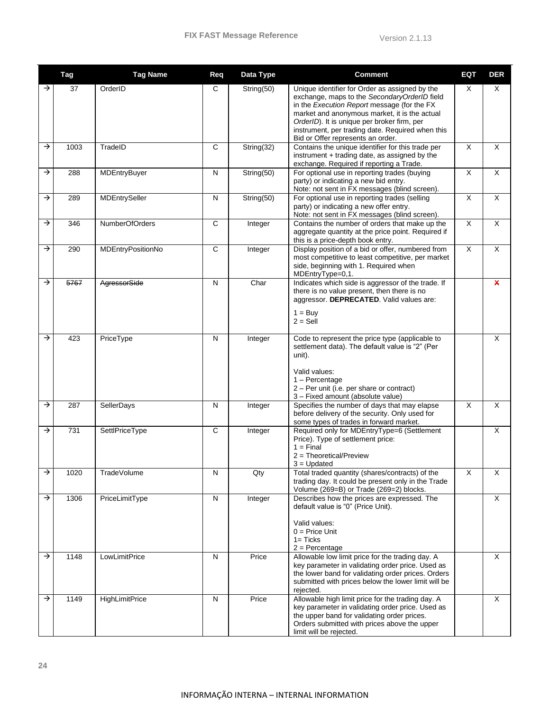|               | Tag  | <b>Tag Name</b>       | Req          | Data Type  | <b>Comment</b>                                                                                                                                                                                                                                                                                                                         | <b>EQT</b>              | <b>DER</b>   |
|---------------|------|-----------------------|--------------|------------|----------------------------------------------------------------------------------------------------------------------------------------------------------------------------------------------------------------------------------------------------------------------------------------------------------------------------------------|-------------------------|--------------|
| →             | 37   | OrderID               | С            | String(50) | Unique identifier for Order as assigned by the<br>exchange, maps to the SecondaryOrderID field<br>in the Execution Report message (for the FX<br>market and anonymous market, it is the actual<br>OrderID). It is unique per broker firm, per<br>instrument, per trading date. Required when this<br>Bid or Offer represents an order. | Χ                       | X            |
| $\rightarrow$ | 1003 | TradeID               | C            | String(32) | Contains the unique identifier for this trade per<br>instrument + trading date, as assigned by the<br>exchange. Required if reporting a Trade.                                                                                                                                                                                         | $\overline{\mathsf{x}}$ | X            |
| →             | 288  | MDEntryBuyer          | N            | String(50) | For optional use in reporting trades (buying<br>party) or indicating a new bid entry.<br>Note: not sent in FX messages (blind screen).                                                                                                                                                                                                 | $\overline{\mathsf{x}}$ | X            |
| →             | 289  | <b>MDEntrySeller</b>  | N            | String(50) | For optional use in reporting trades (selling<br>party) or indicating a new offer entry.<br>Note: not sent in FX messages (blind screen).                                                                                                                                                                                              | X                       | X            |
| $\rightarrow$ | 346  | NumberOfOrders        | $\mathsf{C}$ | Integer    | Contains the number of orders that make up the<br>aggregate quantity at the price point. Required if<br>this is a price-depth book entry.                                                                                                                                                                                              | X                       | X            |
| →             | 290  | MDEntryPositionNo     | $\mathsf{C}$ | Integer    | Display position of a bid or offer, numbered from<br>most competitive to least competitive, per market<br>side, beginning with 1. Required when<br>MDEntryType=0,1.                                                                                                                                                                    | X                       | X            |
| $\rightarrow$ | 5767 | AgressorSide          | N            | Char       | Indicates which side is aggressor of the trade. If<br>there is no value present, then there is no<br>aggressor. DEPRECATED. Valid values are:<br>$1 = Buv$<br>$2 =$ Sell                                                                                                                                                               |                         | $\mathbf{x}$ |
| →             | 423  | PriceType             | N            | Integer    | Code to represent the price type (applicable to<br>settlement data). The default value is "2" (Per<br>unit).<br>Valid values:<br>$1 -$ Percentage<br>2 - Per unit (i.e. per share or contract)<br>3 - Fixed amount (absolute value)                                                                                                    |                         | X            |
| $\rightarrow$ | 287  | SellerDays            | N            | Integer    | Specifies the number of days that may elapse<br>before delivery of the security. Only used for<br>some types of trades in forward market.                                                                                                                                                                                              | X                       | X            |
| →             | 731  | SettlPriceType        | $\mathbf C$  | Integer    | Required only for MDEntryType=6 (Settlement<br>Price). Type of settlement price:<br>$1 = Find$<br>$2 = Theoretical/Preview$<br>$3 =$ Updated                                                                                                                                                                                           |                         | X            |
| →             | 1020 | TradeVolume           | N            | Qty        | Total traded quantity (shares/contracts) of the<br>trading day. It could be present only in the Trade<br>Volume (269=B) or Trade (269=2) blocks.                                                                                                                                                                                       | Χ                       | Х            |
| $\rightarrow$ | 1306 | PriceLimitType        | N            | Integer    | Describes how the prices are expressed. The<br>default value is "0" (Price Unit).<br>Valid values:<br>$0 = Price Unit$<br>$1 =$ Ticks<br>$2 =$ Percentage                                                                                                                                                                              |                         | $\mathsf{X}$ |
| $\rightarrow$ | 1148 | LowLimitPrice         | N            | Price      | Allowable low limit price for the trading day. A<br>key parameter in validating order price. Used as<br>the lower band for validating order prices. Orders<br>submitted with prices below the lower limit will be<br>rejected.                                                                                                         |                         | X            |
| $\rightarrow$ | 1149 | <b>HighLimitPrice</b> | N            | Price      | Allowable high limit price for the trading day. A<br>key parameter in validating order price. Used as<br>the upper band for validating order prices.<br>Orders submitted with prices above the upper<br>limit will be rejected.                                                                                                        |                         | $\mathsf{X}$ |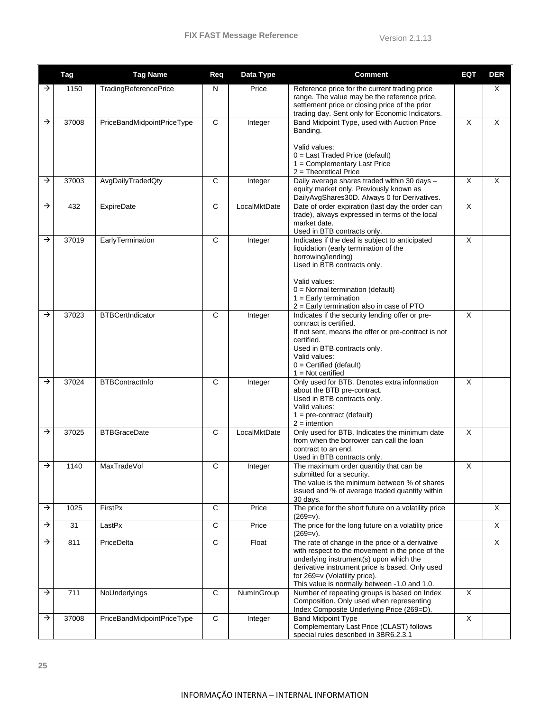|               | Tag   | <b>Tag Name</b>            | Req          | Data Type    | <b>Comment</b>                                                                                                                                                                                                                                                                     | <b>EQT</b>   | <b>DER</b> |
|---------------|-------|----------------------------|--------------|--------------|------------------------------------------------------------------------------------------------------------------------------------------------------------------------------------------------------------------------------------------------------------------------------------|--------------|------------|
| →             | 1150  | TradingReferencePrice      | N            | Price        | Reference price for the current trading price<br>range. The value may be the reference price,<br>settlement price or closing price of the prior<br>trading day. Sent only for Economic Indicators.                                                                                 |              | X          |
| →             | 37008 | PriceBandMidpointPriceType | $\mathsf{C}$ | Integer      | Band Midpoint Type, used with Auction Price<br>Banding.<br>Valid values:<br>$0 =$ Last Traded Price (default)<br>1 = Complementary Last Price<br>$2$ = Theoretical Price                                                                                                           | $\times$     | X          |
| →             | 37003 | AvgDailyTradedQty          | C            | Integer      | Daily average shares traded within 30 days -<br>equity market only. Previously known as<br>DailyAvgShares30D. Always 0 for Derivatives.                                                                                                                                            | $\mathsf{X}$ | X          |
| →             | 432   | ExpireDate                 | C            | LocalMktDate | Date of order expiration (last day the order can<br>trade), always expressed in terms of the local<br>market date.<br>Used in BTB contracts only.                                                                                                                                  | X            |            |
| →             | 37019 | EarlyTermination           | С            | Integer      | Indicates if the deal is subject to anticipated<br>liquidation (early termination of the<br>borrowing/lending)<br>Used in BTB contracts only.<br>Valid values:<br>$0 =$ Normal termination (default)<br>$1 =$ Early termination<br>2 = Early termination also in case of PTO       | X            |            |
| →             | 37023 | <b>BTBCertIndicator</b>    | $\mathsf{C}$ | Integer      | Indicates if the security lending offer or pre-<br>contract is certified.<br>If not sent, means the offer or pre-contract is not<br>certified.<br>Used in BTB contracts only.<br>Valid values:<br>$0 =$ Certified (default)<br>$1 = Not$ certified                                 | $\times$     |            |
| $\rightarrow$ | 37024 | <b>BTBContractInfo</b>     | C            | Integer      | Only used for BTB. Denotes extra information<br>about the BTB pre-contract.<br>Used in BTB contracts only.<br>Valid values:<br>$1 = pre-contract (default)$<br>$2 =$ intention                                                                                                     | X            |            |
| →             | 37025 | <b>BTBGraceDate</b>        | $\mathsf{C}$ | LocalMktDate | Only used for BTB. Indicates the minimum date<br>from when the borrower can call the loan<br>contract to an end.<br>Used in BTB contracts only.                                                                                                                                    | $\times$     |            |
| $\rightarrow$ | 1140  | MaxTradeVol                | С            | Integer      | The maximum order quantity that can be<br>submitted for a security.<br>The value is the minimum between % of shares<br>issued and % of average traded quantity within<br>30 days.                                                                                                  | X            |            |
| $\rightarrow$ | 1025  | FirstPx                    | $\mathbf C$  | Price        | The price for the short future on a volatility price<br>$(269=v).$                                                                                                                                                                                                                 |              | X          |
| →             | 31    | LastPx                     | $\mathbf C$  | Price        | The price for the long future on a volatility price<br>$(269=v)$ .                                                                                                                                                                                                                 |              | X          |
| →             | 811   | PriceDelta                 | $\mathbf C$  | Float        | The rate of change in the price of a derivative<br>with respect to the movement in the price of the<br>underlying instrument(s) upon which the<br>derivative instrument price is based. Only used<br>for 269=v (Volatility price).<br>This value is normally between -1.0 and 1.0. |              | X          |
| →             | 711   | NoUnderlyings              | $\mathsf{C}$ | NumInGroup   | Number of repeating groups is based on Index<br>Composition. Only used when representing<br>Index Composite Underlying Price (269=D).                                                                                                                                              | $\mathsf{X}$ |            |
| →             | 37008 | PriceBandMidpointPriceType | $\mathsf{C}$ | Integer      | <b>Band Midpoint Type</b><br>Complementary Last Price (CLAST) follows<br>special rules described in 3BR6.2.3.1                                                                                                                                                                     | X            |            |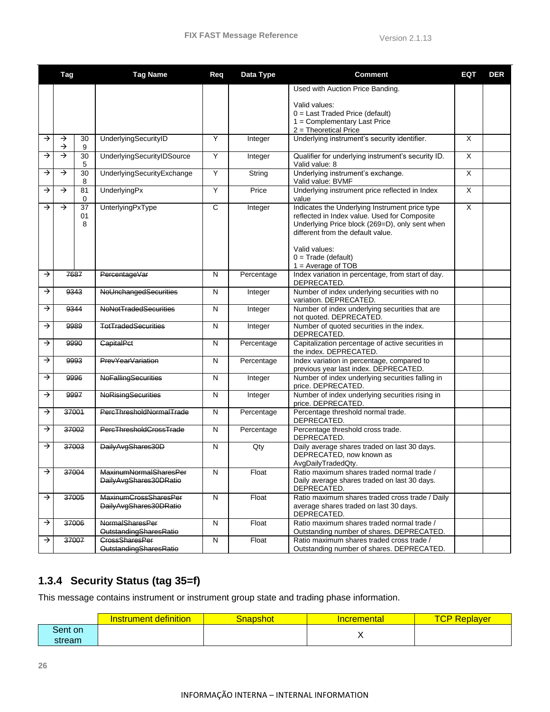|               | Tag           |               | <b>Tag Name</b>                                         | Req          | Data Type  | <b>Comment</b>                                                                                                                                                                                                                                          | EQT                     | <b>DER</b> |
|---------------|---------------|---------------|---------------------------------------------------------|--------------|------------|---------------------------------------------------------------------------------------------------------------------------------------------------------------------------------------------------------------------------------------------------------|-------------------------|------------|
|               |               |               |                                                         |              |            | Used with Auction Price Banding.                                                                                                                                                                                                                        |                         |            |
|               |               |               |                                                         |              |            | Valid values:<br>$0 =$ Last Traded Price (default)<br>1 = Complementary Last Price<br>2 = Theoretical Price                                                                                                                                             |                         |            |
| $\rightarrow$ | →<br>→        | 30<br>9       | UnderlyingSecurityID                                    | Υ            | Integer    | Underlying instrument's security identifier.                                                                                                                                                                                                            | $\overline{\mathsf{x}}$ |            |
| →             | $\rightarrow$ | 30<br>5       | UnderlyingSecurityIDSource                              | Υ            | Integer    | Qualifier for underlying instrument's security ID.<br>Valid value: 8                                                                                                                                                                                    | $\times$                |            |
| →             | $\rightarrow$ | 30<br>8       | UnderlyingSecurityExchange                              | Υ            | String     | Underlying instrument's exchange.<br>Valid value: BVMF                                                                                                                                                                                                  | $\sf X$                 |            |
| →             | $\rightarrow$ | 81<br>0       | UnderlyingPx                                            | Y            | Price      | Underlying instrument price reflected in Index<br>value                                                                                                                                                                                                 | $\times$                |            |
| →             | →             | 37<br>01<br>8 | UnterlyingPxType                                        | $\mathsf{C}$ | Integer    | Indicates the Underlying Instrument price type<br>reflected in Index value. Used for Composite<br>Underlying Price block (269=D), only sent when<br>different from the default value.<br>Valid values:<br>$0 = Trade (default)$<br>$1 = Average of TOB$ | $\overline{\mathsf{x}}$ |            |
| $\rightarrow$ |               | 7687          | PercentageVar                                           | N            | Percentage | Index variation in percentage, from start of day.<br>DEPRECATED.                                                                                                                                                                                        |                         |            |
| →             |               | 9343          | NoUnchangedSecurities                                   | N            | Integer    | Number of index underlying securities with no<br>variation. DEPRECATED.                                                                                                                                                                                 |                         |            |
| →             |               | 9344          | <b>NoNotTradedSecurities</b>                            | N            | Integer    | Number of index underlying securities that are<br>not quoted. DEPRECATED.                                                                                                                                                                               |                         |            |
| →             |               | 9989          | <b>TotTradedSecurities</b>                              | N            | Integer    | Number of quoted securities in the index.<br>DEPRECATED.                                                                                                                                                                                                |                         |            |
| →             |               | 9990          | <b>CapitalPct</b>                                       | N            | Percentage | Capitalization percentage of active securities in<br>the index. DEPRECATED.                                                                                                                                                                             |                         |            |
| →             |               | 9993          | <b>PrevYearVariation</b>                                | N            | Percentage | Index variation in percentage, compared to<br>previous year last index. DEPRECATED.                                                                                                                                                                     |                         |            |
| →             |               | 9996          | <b>NoFallingSecurities</b>                              | Ν            | Integer    | Number of index underlying securities falling in<br>price. DEPRECATED.                                                                                                                                                                                  |                         |            |
| →             |               | 9997          | NoRisingSecurities                                      | N            | Integer    | Number of index underlying securities rising in<br>price. DEPRECATED.                                                                                                                                                                                   |                         |            |
| →             |               | 37001         | PercThresholdNormalTrade                                | N            | Percentage | Percentage threshold normal trade.<br>DEPRECATED.                                                                                                                                                                                                       |                         |            |
| →             |               | 37002         | PercThresholdCrossTrade                                 | N            | Percentage | Percentage threshold cross trade.<br>DEPRECATED.                                                                                                                                                                                                        |                         |            |
| →             |               | 37003         | DailyAvgShares30D                                       | N            | Qty        | Daily average shares traded on last 30 days.<br>DEPRECATED, now known as<br>AvgDailyTradedQty.                                                                                                                                                          |                         |            |
| $\rightarrow$ |               | 37004         | <b>MaxinumNormalSharesPer</b><br>DailyAvgShares30DRatio | N            | Float      | Ratio maximum shares traded normal trade /<br>Daily average shares traded on last 30 days.<br>DEPRECATED.                                                                                                                                               |                         |            |
| $\rightarrow$ |               | 37005         | <b>MaxinumCrossSharesPer</b><br>DailyAvgShares30DRatio  | ${\sf N}$    | Float      | Ratio maximum shares traded cross trade / Daily<br>average shares traded on last 30 days.<br>DEPRECATED.                                                                                                                                                |                         |            |
| $\rightarrow$ |               | 37006         | NormalSharesPer<br>OutstandingSharesRatio               | N            | Float      | Ratio maximum shares traded normal trade /<br>Outstanding number of shares. DEPRECATED.                                                                                                                                                                 |                         |            |
| →             |               | 37007         | CrossSharesPer<br>OutstandingSharesRatio                | ${\sf N}$    | Float      | Ratio maximum shares traded cross trade /<br>Outstanding number of shares. DEPRECATED.                                                                                                                                                                  |                         |            |

## <span id="page-26-0"></span>**1.3.4 Security Status (tag 35=f)**

This message contains instrument or instrument group state and trading phase information.

|         | <b>Instrument definition</b> | Snapshot | <u>Incremental</u> | <b>TCP R</b><br>Replayer |
|---------|------------------------------|----------|--------------------|--------------------------|
| Sent on |                              |          |                    |                          |
| stream  |                              |          | $\lambda$          |                          |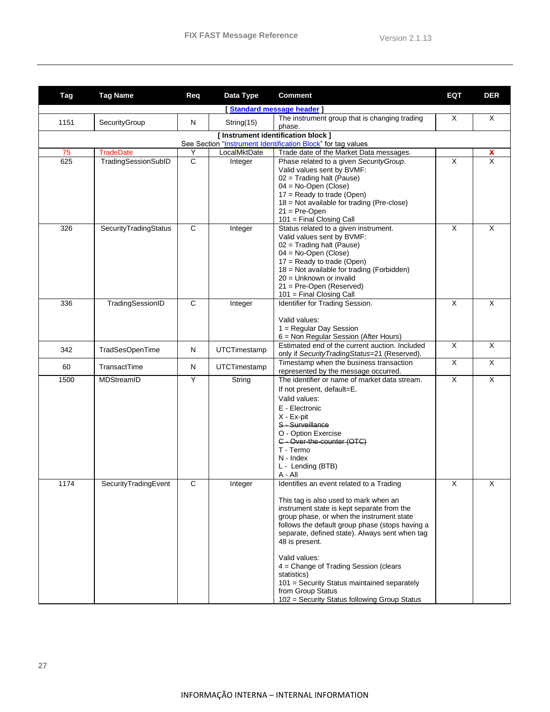| <b>Tag</b> | <b>Tag Name</b>                         | Req               | Data Type    | <b>Comment</b>                                                                                   | EQT                     | <b>DER</b>                                           |
|------------|-----------------------------------------|-------------------|--------------|--------------------------------------------------------------------------------------------------|-------------------------|------------------------------------------------------|
|            |                                         |                   |              | <b>Standard message header  </b>                                                                 |                         |                                                      |
| 1151       | SecurityGroup                           | N                 | String(15)   | The instrument group that is changing trading<br>phase.                                          | X                       | X                                                    |
|            |                                         |                   |              | [Instrument identification block]                                                                |                         |                                                      |
|            |                                         |                   | LocalMktDate | See Section "Instrument Identification Block" for tag values                                     |                         |                                                      |
| 75<br>625  | <b>TradeDate</b><br>TradingSessionSubID | Υ<br>$\mathsf{C}$ | Integer      | Trade date of the Market Data messages.<br>Phase related to a given SecurityGroup.               | X                       | $\boldsymbol{\mathsf{x}}$<br>$\overline{\mathsf{x}}$ |
|            |                                         |                   |              | Valid values sent by BVMF:                                                                       |                         |                                                      |
|            |                                         |                   |              | $02 =$ Trading halt (Pause)                                                                      |                         |                                                      |
|            |                                         |                   |              | $04 = No-Open$ (Close)                                                                           |                         |                                                      |
|            |                                         |                   |              | $17 =$ Ready to trade (Open)                                                                     |                         |                                                      |
|            |                                         |                   |              | 18 = Not available for trading (Pre-close)<br>$21 = Pre-Open$                                    |                         |                                                      |
|            |                                         |                   |              | 101 = Final Closing Call                                                                         |                         |                                                      |
| 326        | SecurityTradingStatus                   | $\mathbf C$       | Integer      | Status related to a given instrument.                                                            | $\times$                | X                                                    |
|            |                                         |                   |              | Valid values sent by BVMF:                                                                       |                         |                                                      |
|            |                                         |                   |              | $02 =$ Trading halt (Pause)                                                                      |                         |                                                      |
|            |                                         |                   |              | $04 = No-Open$ (Close)<br>$17 =$ Ready to trade (Open)                                           |                         |                                                      |
|            |                                         |                   |              | 18 = Not available for trading (Forbidden)                                                       |                         |                                                      |
|            |                                         |                   |              | 20 = Unknown or invalid                                                                          |                         |                                                      |
|            |                                         |                   |              | $21 = Pre-Open (Reserved)$                                                                       |                         |                                                      |
|            |                                         |                   |              | $101$ = Final Closing Call                                                                       |                         |                                                      |
| 336        | TradingSessionID                        | $\mathbf C$       | Integer      | Identifier for Trading Session.                                                                  | $\times$                | $\times$                                             |
|            |                                         |                   |              | Valid values:                                                                                    |                         |                                                      |
|            |                                         |                   |              | 1 = Regular Day Session                                                                          |                         |                                                      |
|            |                                         |                   |              | 6 = Non Regular Session (After Hours)                                                            |                         |                                                      |
| 342        | TradSesOpenTime                         | N                 | UTCTimestamp | Estimated end of the current auction. Included<br>only if Security Trading Status=21 (Reserved). | X                       | X                                                    |
| 60         | TransactTime                            | N                 | UTCTimestamp | Timestamp when the business transaction<br>represented by the message occurred.                  | $\overline{\mathsf{x}}$ | $\overline{\mathsf{x}}$                              |
| 1500       | MDStreamID                              | Y                 | String       | The identifier or name of market data stream.                                                    | $\times$                | $\overline{\mathsf{x}}$                              |
|            |                                         |                   |              | If not present, default=E.                                                                       |                         |                                                      |
|            |                                         |                   |              | Valid values:                                                                                    |                         |                                                      |
|            |                                         |                   |              | E - Electronic                                                                                   |                         |                                                      |
|            |                                         |                   |              | X - Ex-pit<br>S - Surveillance                                                                   |                         |                                                      |
|            |                                         |                   |              | O - Option Exercise                                                                              |                         |                                                      |
|            |                                         |                   |              | C - Over-the-counter (OTC)                                                                       |                         |                                                      |
|            |                                         |                   |              | T - Termo                                                                                        |                         |                                                      |
|            |                                         |                   |              | N - Index                                                                                        |                         |                                                      |
|            |                                         |                   |              | L - Lending (BTB)<br>A - All                                                                     |                         |                                                      |
| 1174       | SecurityTradingEvent                    | С                 | Integer      | Identifies an event related to a Trading                                                         | X                       | X                                                    |
|            |                                         |                   |              |                                                                                                  |                         |                                                      |
|            |                                         |                   |              | This tag is also used to mark when an                                                            |                         |                                                      |
|            |                                         |                   |              | instrument state is kept separate from the<br>group phase, or when the instrument state          |                         |                                                      |
|            |                                         |                   |              | follows the default group phase (stops having a                                                  |                         |                                                      |
|            |                                         |                   |              | separate, defined state). Always sent when tag                                                   |                         |                                                      |
|            |                                         |                   |              | 48 is present.                                                                                   |                         |                                                      |
|            |                                         |                   |              | Valid values:                                                                                    |                         |                                                      |
|            |                                         |                   |              | 4 = Change of Trading Session (clears                                                            |                         |                                                      |
|            |                                         |                   |              | statistics)                                                                                      |                         |                                                      |
|            |                                         |                   |              | 101 = Security Status maintained separately                                                      |                         |                                                      |
|            |                                         |                   |              | from Group Status                                                                                |                         |                                                      |
|            |                                         |                   |              | 102 = Security Status following Group Status                                                     |                         |                                                      |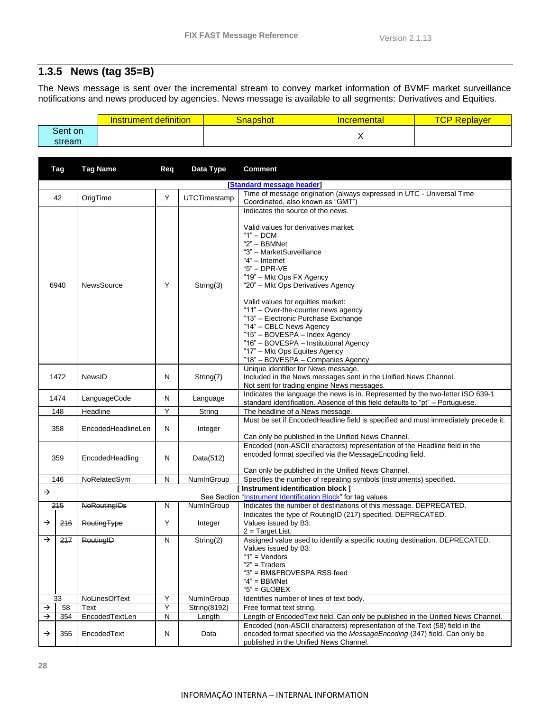## <span id="page-28-0"></span>**1.3.5 News (tag 35=B)**

The News message is sent over the incremental stream to convey market information of BVMF market surveillance notifications and news produced by agencies. News message is available to all segments: Derivatives and Equities.

|         | <b>Instrument definition</b> | Snapshot | <u>Incremental</u> | <b>TCP Re</b><br>Replaver |
|---------|------------------------------|----------|--------------------|---------------------------|
| Sent on |                              |          |                    |                           |
| stream  |                              |          | $\cdot$            |                           |

|               | Tag<br><b>Tag Name</b><br>Data Type<br>Req |                                        |           | <b>Comment</b> |                                                                                                                                                                                                                                                                                                                                                                                                                                                                                                                                         |
|---------------|--------------------------------------------|----------------------------------------|-----------|----------------|-----------------------------------------------------------------------------------------------------------------------------------------------------------------------------------------------------------------------------------------------------------------------------------------------------------------------------------------------------------------------------------------------------------------------------------------------------------------------------------------------------------------------------------------|
|               |                                            |                                        |           |                | [Standard message header]                                                                                                                                                                                                                                                                                                                                                                                                                                                                                                               |
|               | 42                                         | OrigTime                               | Y         | UTCTimestamp   | Time of message origination (always expressed in UTC - Universal Time<br>Coordinated, also known as "GMT")                                                                                                                                                                                                                                                                                                                                                                                                                              |
| 6940          |                                            | <b>NewsSource</b>                      | Y         | String(3)      | Indicates the source of the news.<br>Valid values for derivatives market:<br>$"1"$ – DCM<br>"2" - BBMNet<br>"3" - MarketSurveillance<br>"4" - Internet<br>$"5"$ - DPR-VE<br>"19" - Mkt Ops FX Agency<br>"20" - Mkt Ops Derivatives Agency<br>Valid values for equities market:<br>"11" - Over-the-counter news agency<br>"13" - Electronic Purchase Exchange<br>"14" - CBLC News Agency<br>"15" - BOVESPA - Index Agency<br>"16" - BOVESPA - Institutional Agency<br>"17" - Mkt Ops Equites Agency<br>"18" - BOVESPA - Companies Agency |
| 1472          |                                            | NewsID                                 | N         | String(7)      | Unique identifier for News message.<br>Included in the News messages sent in the Unified News Channel.<br>Not sent for trading engine News messages.                                                                                                                                                                                                                                                                                                                                                                                    |
| 1474          |                                            | LanguageCode                           | N         | Language       | Indicates the language the news is in. Represented by the two-letter ISO 639-1<br>standard identification. Absence of this field defaults to "pt" - Portuguese.                                                                                                                                                                                                                                                                                                                                                                         |
|               | 148                                        | Headline                               | Υ         | String         | The headline of a News message.                                                                                                                                                                                                                                                                                                                                                                                                                                                                                                         |
|               | 358                                        | EncodedHeadlineLen                     | N         | Integer        | Must be set if EncodedHeadline field is specified and must immediately precede it.<br>Can only be published in the Unified News Channel.                                                                                                                                                                                                                                                                                                                                                                                                |
|               | 359                                        | EncodedHeadling                        | N         | Data(512)      | Encoded (non-ASCII characters) representation of the Headline field in the<br>encoded format specified via the MessageEncoding field.<br>Can only be published in the Unified News Channel.                                                                                                                                                                                                                                                                                                                                             |
|               | 146                                        | NoRelatedSym                           | N         | NumInGroup     | Specifies the number of repeating symbols (instruments) specified.                                                                                                                                                                                                                                                                                                                                                                                                                                                                      |
| $\rightarrow$ |                                            |                                        |           |                | [ Instrument identification block ]                                                                                                                                                                                                                                                                                                                                                                                                                                                                                                     |
|               |                                            |                                        |           |                | See Section "Instrument Identification Block" for tag values                                                                                                                                                                                                                                                                                                                                                                                                                                                                            |
|               | 215                                        | NumInGroup<br><b>NoRoutingIDs</b><br>N |           |                | Indicates the number of destinations of this message. DEPRECATED.                                                                                                                                                                                                                                                                                                                                                                                                                                                                       |
| →             | 216                                        | RoutingType                            | Υ         | Integer        | Indicates the type of RoutingID (217) specified. DEPRECATED.<br>Values issued by B3:<br>$2 = Target List.$                                                                                                                                                                                                                                                                                                                                                                                                                              |
| →             | 217                                        | RoutingID                              | ${\sf N}$ | String(2)      | Assigned value used to identify a specific routing destination. DEPRECATED.<br>Values issued by B3:<br>" $1"$ = Vendors<br>" $2"$ = Traders<br>"3" = BM&FBOVESPA RSS feed<br>" $4" = BBMNet$<br>$"5" = GLOBEX$                                                                                                                                                                                                                                                                                                                          |
|               | 33                                         | <b>NoLinesOfText</b>                   | Υ         | NumInGroup     | Identifies number of lines of text body.                                                                                                                                                                                                                                                                                                                                                                                                                                                                                                |
| →             | 58                                         | Text                                   | Y         | String(8192)   | Free format text string.                                                                                                                                                                                                                                                                                                                                                                                                                                                                                                                |
| →             | 354                                        | EncodedTextLen                         | N         | Length         | Length of Encoded Text field. Can only be published in the Unified News Channel.                                                                                                                                                                                                                                                                                                                                                                                                                                                        |
| →             | 355                                        | EncodedText                            | N         | Data           | Encoded (non-ASCII characters) representation of the Text (58) field in the<br>encoded format specified via the Message Encoding (347) field. Can only be<br>published in the Unified News Channel.                                                                                                                                                                                                                                                                                                                                     |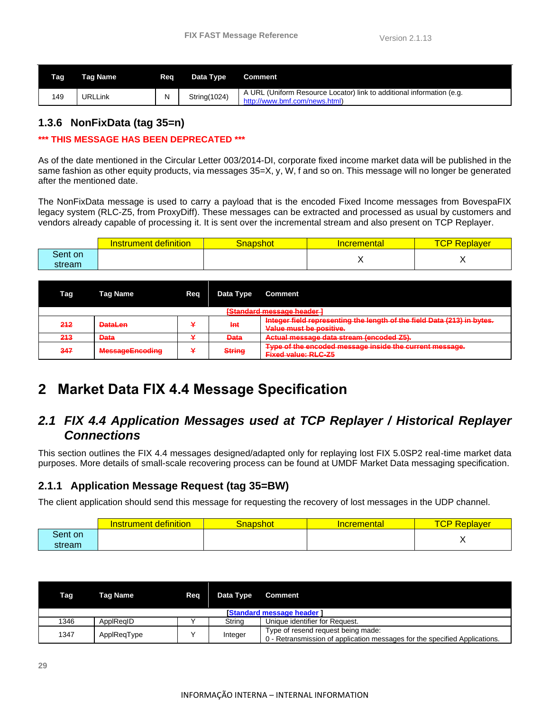| <b>Tag</b> | Tag Name | Rea | Data Type    | Comment                                                                                                |
|------------|----------|-----|--------------|--------------------------------------------------------------------------------------------------------|
| 149        | URLLink  | N   | String(1024) | A URL (Uniform Resource Locator) link to additional information (e.g.<br>http://www.bmf.com/news.html) |

#### <span id="page-29-0"></span>**1.3.6 NonFixData (tag 35=n)**

#### **\*\*\* THIS MESSAGE HAS BEEN DEPRECATED \*\*\***

As of the date mentioned in the Circular Letter 003/2014-DI, corporate fixed income market data will be published in the same fashion as other equity products, via messages 35=X, y, W, f and so on. This message will no longer be generated after the mentioned date.

The NonFixData message is used to carry a payload that is the encoded Fixed Income messages from BovespaFIX legacy system (RLC-Z5, from ProxyDiff). These messages can be extracted and processed as usual by customers and vendors already capable of processing it. It is sent over the incremental stream and also present on TCP Replayer.

|         | nstrument definition | <mark>Snapshot</mark> / | <u>Incremental</u> | <b>TCP</b><br>Replaver |
|---------|----------------------|-------------------------|--------------------|------------------------|
| Sent on |                      |                         |                    |                        |
| stream  |                      |                         |                    |                        |

| Tag | <b>Tag Name</b>                       | Reg | Data Type     | <b>Comment</b>                                                                                     |  |  |  |
|-----|---------------------------------------|-----|---------------|----------------------------------------------------------------------------------------------------|--|--|--|
|     | <del>[Standard message header ]</del> |     |               |                                                                                                    |  |  |  |
| 212 | <b>DataLen</b>                        |     | Int           | Integer field representing the length of the field Data (213) in bytes.<br>Value must be positive. |  |  |  |
| 213 | <b>Data</b>                           |     | <b>Data</b>   | Actual message data stream (encoded Z5).                                                           |  |  |  |
| 347 | <b>MessageEncoding</b>                |     | <b>String</b> | Type of the encoded message inside the current message.<br><b>Fixed value: RLC-Z5</b>              |  |  |  |

## <span id="page-29-1"></span>**2 Market Data FIX 4.4 Message Specification**

## <span id="page-29-2"></span>*2.1 FIX 4.4 Application Messages used at TCP Replayer / Historical Replayer Connections*

This section outlines the FIX 4.4 messages designed/adapted only for replaying lost FIX 5.0SP2 real-time market data purposes. More details of small-scale recovering process can be found at UMDF Market Data messaging specification.

#### <span id="page-29-3"></span>**2.1.1 Application Message Request (tag 35=BW)**

The client application should send this message for requesting the recovery of lost messages in the UDP channel.

|         | definition<br>Instrument_ | Snapshot | <b>Incremental</b> | $T\cap D$<br>Replayer<br>◡ |
|---------|---------------------------|----------|--------------------|----------------------------|
| Sent on |                           |          |                    |                            |
| stream  |                           |          |                    |                            |

| Tag  | Tag Name                         | Reg | Data Type | Comment                                                                                                          |  |  |  |
|------|----------------------------------|-----|-----------|------------------------------------------------------------------------------------------------------------------|--|--|--|
|      | <b>Standard message header 1</b> |     |           |                                                                                                                  |  |  |  |
| 1346 | ApplRegID                        |     | String    | Unique identifier for Request.                                                                                   |  |  |  |
| 1347 | ApplReqType                      |     | Integer   | Type of resend request being made:<br>0 - Retransmission of application messages for the specified Applications. |  |  |  |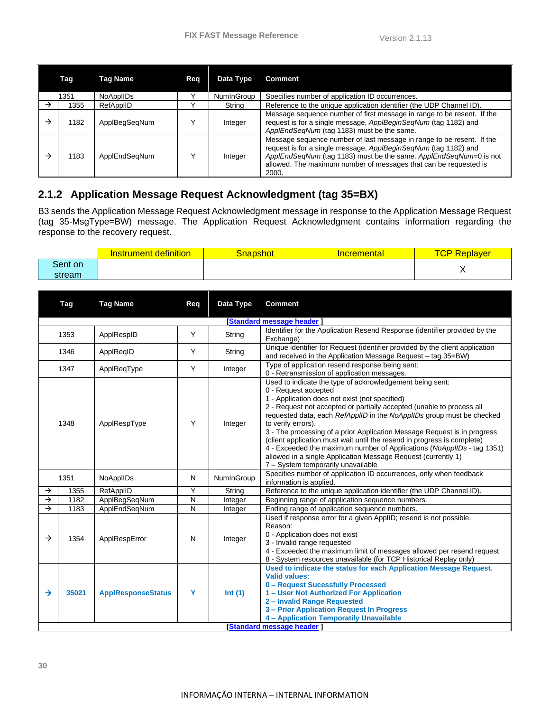|   | Tag  | Tag Name         | Reg | Data Type  | <b>Comment</b>                                                                                                                                                                                                                                                                             |
|---|------|------------------|-----|------------|--------------------------------------------------------------------------------------------------------------------------------------------------------------------------------------------------------------------------------------------------------------------------------------------|
|   | 1351 | <b>NoAppIIDs</b> |     | NumInGroup | Specifies number of application ID occurrences.                                                                                                                                                                                                                                            |
| → | 1355 | RefAppIID        |     | String     | Reference to the unique application identifier (the UDP Channel ID).                                                                                                                                                                                                                       |
|   | 1182 | ApplBegSegNum    |     | Integer    | Message sequence number of first message in range to be resent. If the<br>request is for a single message, ApplBeginSeqNum (tag 1182) and<br>ApplEndSegNum (tag 1183) must be the same.                                                                                                    |
|   | 1183 | ApplEndSegNum    |     | Integer    | Message sequence number of last message in range to be resent. If the<br>request is for a single message, ApplBeginSeqNum (tag 1182) and<br>ApplEndSeqNum (tag 1183) must be the same. ApplEndSeqNum=0 is not<br>allowed. The maximum number of messages that can be requested is<br>2000. |

#### <span id="page-30-0"></span>**2.1.2 Application Message Request Acknowledgment (tag 35=BX)**

B3 sends the Application Message Request Acknowledgment message in response to the Application Message Request (tag 35-MsgType=BW) message. The Application Request Acknowledgment contains information regarding the response to the recovery request.

|         | definition<br>Instrument i | <u>;napshot</u> | <u>Incremental</u> | $\overline{\phantom{a}}$<br><u>keplaver </u><br>w |
|---------|----------------------------|-----------------|--------------------|---------------------------------------------------|
| Sent on |                            |                 |                    |                                                   |
| stream  |                            |                 |                    | $\cdot$                                           |

| Tag                    | <b>Tag Name</b>           | Req          | Data Type  | <b>Comment</b>                                                                                                                                                                                                                                                                                                                                                                                                                                                                                                                                                                                                                                     |  |  |  |  |  |
|------------------------|---------------------------|--------------|------------|----------------------------------------------------------------------------------------------------------------------------------------------------------------------------------------------------------------------------------------------------------------------------------------------------------------------------------------------------------------------------------------------------------------------------------------------------------------------------------------------------------------------------------------------------------------------------------------------------------------------------------------------------|--|--|--|--|--|
|                        | [Standard message header] |              |            |                                                                                                                                                                                                                                                                                                                                                                                                                                                                                                                                                                                                                                                    |  |  |  |  |  |
| 1353                   | ApplRespID                | Y            | String     | Identifier for the Application Resend Response (identifier provided by the<br>Exchange)                                                                                                                                                                                                                                                                                                                                                                                                                                                                                                                                                            |  |  |  |  |  |
| 1346                   | ApplReqID                 | Y            | String     | Unique identifier for Request (identifier provided by the client application<br>and received in the Application Message Request - tag 35=BW)                                                                                                                                                                                                                                                                                                                                                                                                                                                                                                       |  |  |  |  |  |
| 1347                   | ApplReqType               | Y            | Integer    | Type of application resend response being sent:<br>0 - Retransmission of application messages.                                                                                                                                                                                                                                                                                                                                                                                                                                                                                                                                                     |  |  |  |  |  |
| 1348                   | ApplRespType              | Y            | Integer    | Used to indicate the type of acknowledgement being sent:<br>0 - Request accepted<br>1 - Application does not exist (not specified)<br>2 - Request not accepted or partially accepted (unable to process all<br>requested data, each RefAppIID in the NoAppIIDs group must be checked<br>to verify errors).<br>3 - The processing of a prior Application Message Request is in progress<br>(client application must wait until the resend in progress is complete)<br>4 - Exceeded the maximum number of Applications (NoApplIDs - tag 1351)<br>allowed in a single Application Message Request (currently 1)<br>7 - System temporarily unavailable |  |  |  |  |  |
| 1351                   | <b>NoAppIIDs</b>          | N            | NumInGroup | Specifies number of application ID occurrences, only when feedback<br>information is applied.                                                                                                                                                                                                                                                                                                                                                                                                                                                                                                                                                      |  |  |  |  |  |
| $\rightarrow$<br>1355  | RefApplID                 | Y            | String     | Reference to the unique application identifier (the UDP Channel ID).                                                                                                                                                                                                                                                                                                                                                                                                                                                                                                                                                                               |  |  |  |  |  |
| $\rightarrow$<br>1182  | ApplBegSeqNum             | $\mathsf{N}$ | Integer    |                                                                                                                                                                                                                                                                                                                                                                                                                                                                                                                                                                                                                                                    |  |  |  |  |  |
| $\rightarrow$<br>1183  | ApplEndSeqNum             | ${\sf N}$    | Integer    | Ending range of application sequence numbers.                                                                                                                                                                                                                                                                                                                                                                                                                                                                                                                                                                                                      |  |  |  |  |  |
| 1354<br>$\rightarrow$  | ApplRespError             | N            | Integer    | Used if response error for a given AppIID; resend is not possible.<br>Reason:<br>0 - Application does not exist<br>3 - Invalid range requested<br>4 - Exceeded the maximum limit of messages allowed per resend request<br>8 - System resources unavailable (for TCP Historical Replay only)                                                                                                                                                                                                                                                                                                                                                       |  |  |  |  |  |
| $\rightarrow$<br>35021 | <b>ApplResponseStatus</b> | Y            | Int(1)     | Used to indicate the status for each Application Message Request.<br><b>Valid values:</b><br>0 - Request Sucessfully Processed<br>1 - User Not Authorized For Application<br>2 - Invalid Range Requested<br>3 - Prior Application Request In Progress<br>4 - Application Temporatily Unavailable                                                                                                                                                                                                                                                                                                                                                   |  |  |  |  |  |
|                        |                           |              |            | Beginning range of application sequence numbers.<br><b>Standard message header 1</b>                                                                                                                                                                                                                                                                                                                                                                                                                                                                                                                                                               |  |  |  |  |  |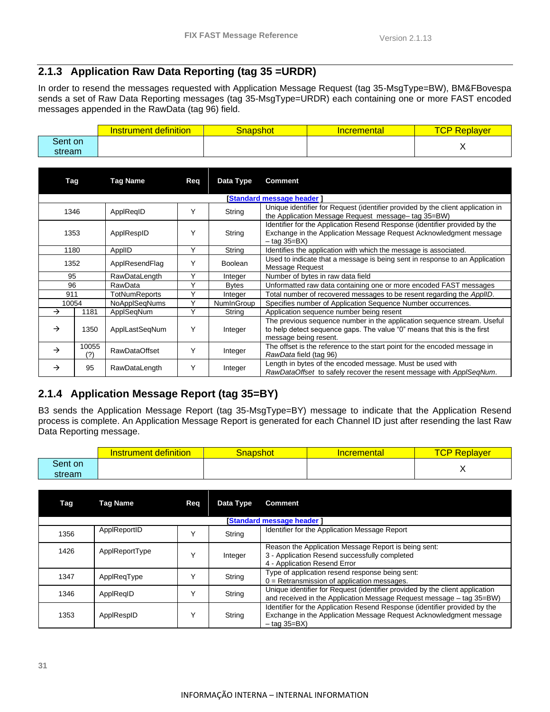#### <span id="page-31-0"></span>**2.1.3 Application Raw Data Reporting (tag 35 =URDR)**

In order to resend the messages requested with Application Message Request (tag 35-MsgType=BW), BM&FBovespa sends a set of Raw Data Reporting messages (tag 35-MsgType=URDR) each containing one or more FAST encoded messages appended in the RawData (tag 96) field.

|         | definition<br><b>Instrument</b> | <mark>.3napshot</mark> | <b>Incremental</b> | rn di<br>Replayer<br>◡ |
|---------|---------------------------------|------------------------|--------------------|------------------------|
| Sent on |                                 |                        |                    |                        |
| stream  |                                 |                        |                    |                        |

| Tag           |              | <b>Tag Name</b>      | Req          | Data Type      | <b>Comment</b>                                                                                                                                                               |  |
|---------------|--------------|----------------------|--------------|----------------|------------------------------------------------------------------------------------------------------------------------------------------------------------------------------|--|
|               |              |                      |              |                | <b>Standard message header 1</b>                                                                                                                                             |  |
| 1346          |              | ApplReqID            |              | String         | Unique identifier for Request (identifier provided by the client application in<br>the Application Message Request message- tag 35=BW)                                       |  |
| 1353          |              | ApplRespID           | Υ            | String         | Identifier for the Application Resend Response (identifier provided by the<br>Exchange in the Application Message Request Acknowledgment message<br>– tag 35=BX)             |  |
| 1180          |              | ApplID               | Υ            | String         | Identifies the application with which the message is associated.                                                                                                             |  |
| 1352          |              | ApplResendFlag       | Y            | <b>Boolean</b> | Used to indicate that a message is being sent in response to an Application<br>Message Request                                                                               |  |
| 95            |              | RawDataLength        | Υ            | Integer        | Number of bytes in raw data field                                                                                                                                            |  |
| 96            |              | RawData              | $\checkmark$ | <b>Bytes</b>   | Unformatted raw data containing one or more encoded FAST messages                                                                                                            |  |
| 911           |              | TotNumReports        | Υ            | Integer        | Total number of recovered messages to be resent regarding the AppIID.                                                                                                        |  |
| 10054         |              | <b>NoApplSegNums</b> | Υ            | NumInGroup     | Specifies number of Application Sequence Number occurrences.                                                                                                                 |  |
| $\rightarrow$ | 1181         | ApplSeqNum           | Υ            | String         | Application sequence number being resent                                                                                                                                     |  |
| $\rightarrow$ | 1350         | ApplLastSeqNum       | Y            | Integer        | The previous sequence number in the application sequence stream. Useful<br>to help detect sequence gaps. The value "0" means that this is the first<br>message being resent. |  |
| $\rightarrow$ | 10055<br>(?) | <b>RawDataOffset</b> | Υ            | Integer        | The offset is the reference to the start point for the encoded message in<br>RawData field (tag 96)                                                                          |  |
| →             | 95           | RawDataLength        | Υ            | Integer        | Length in bytes of the encoded message. Must be used with<br>RawDataOffset to safely recover the resent message with ApplSegNum.                                             |  |

## <span id="page-31-1"></span>**2.1.4 Application Message Report (tag 35=BY)**

B3 sends the Application Message Report (tag 35-MsgType=BY) message to indicate that the Application Resend process is complete. An Application Message Report is generated for each Channel ID just after resending the last Raw Data Reporting message.

|         | <b>Instrument definition</b> | Snapshot | <b>Incremental</b> | TCP<br>Replaver |
|---------|------------------------------|----------|--------------------|-----------------|
| Sent on |                              |          |                    |                 |
| stream  |                              |          |                    |                 |

| Tag                              | Tag Name       | Reg | Data Type | <b>Comment</b>                                                                                                                                                     |  |  |  |
|----------------------------------|----------------|-----|-----------|--------------------------------------------------------------------------------------------------------------------------------------------------------------------|--|--|--|
| <b>Standard message header 1</b> |                |     |           |                                                                                                                                                                    |  |  |  |
| 1356                             | ApplReportID   |     | String    | Identifier for the Application Message Report                                                                                                                      |  |  |  |
| 1426                             | ApplReportType | ◡   | Integer   | Reason the Application Message Report is being sent:<br>3 - Application Resend successfully completed<br>4 - Application Resend Error                              |  |  |  |
| 1347                             | ApplReqType    |     | String    | Type of application resend response being sent:<br>$0 = Retransmission of application messages.$                                                                   |  |  |  |
| 1346                             | ApplRegID      |     | String    | Unique identifier for Request (identifier provided by the client application<br>and received in the Application Message Request message - tag 35=BW)               |  |  |  |
| 1353                             | ApplRespID     | v   | String    | Identifier for the Application Resend Response (identifier provided by the<br>Exchange in the Application Message Request Acknowledgment message<br>$-$ tag 35=BX) |  |  |  |